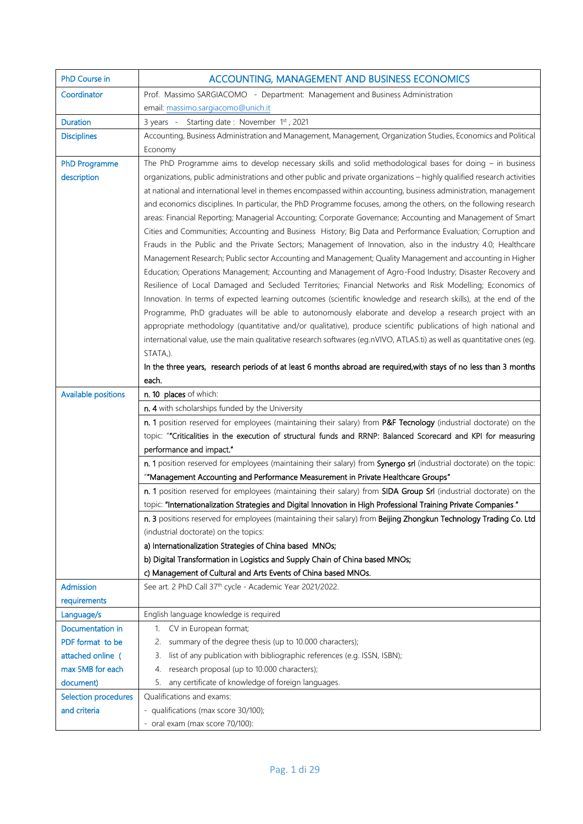| PhD Course in              | ACCOUNTING, MANAGEMENT AND BUSINESS ECONOMICS                                                                                                                                                                                         |
|----------------------------|---------------------------------------------------------------------------------------------------------------------------------------------------------------------------------------------------------------------------------------|
| Coordinator                | Prof. Massimo SARGIACOMO - Department: Management and Business Administration                                                                                                                                                         |
|                            | email: massimo.sargiacomo@unich.it                                                                                                                                                                                                    |
| <b>Duration</b>            | 3 years - Starting date: November 1st, 2021                                                                                                                                                                                           |
| <b>Disciplines</b>         | Accounting, Business Administration and Management, Management, Organization Studies, Economics and Political                                                                                                                         |
|                            | Economy                                                                                                                                                                                                                               |
| <b>PhD Programme</b>       | The PhD Programme aims to develop necessary skills and solid methodological bases for doing $-$ in business                                                                                                                           |
| description                | organizations, public administrations and other public and private organizations - highly qualified research activities                                                                                                               |
|                            | at national and international level in themes encompassed within accounting, business administration, management                                                                                                                      |
|                            | and economics disciplines. In particular, the PhD Programme focuses, among the others, on the following research                                                                                                                      |
|                            | areas: Financial Reporting; Managerial Accounting; Corporate Governance; Accounting and Management of Smart                                                                                                                           |
|                            | Cities and Communities; Accounting and Business History; Big Data and Performance Evaluation; Corruption and                                                                                                                          |
|                            | Frauds in the Public and the Private Sectors; Management of Innovation, also in the industry 4.0; Healthcare                                                                                                                          |
|                            | Management Research; Public sector Accounting and Management; Quality Management and accounting in Higher<br>Education; Operations Management; Accounting and Management of Agro-Food Industry; Disaster Recovery and                 |
|                            | Resilience of Local Damaged and Secluded Territories; Financial Networks and Risk Modelling; Economics of                                                                                                                             |
|                            | Innovation. In terms of expected learning outcomes (scientific knowledge and research skills), at the end of the                                                                                                                      |
|                            | Programme, PhD graduates will be able to autonomously elaborate and develop a research project with an                                                                                                                                |
|                            | appropriate methodology (quantitative and/or qualitative), produce scientific publications of high national and                                                                                                                       |
|                            | international value, use the main qualitative research softwares (eg.nVIVO, ATLAS.ti) as well as quantitative ones (eg.                                                                                                               |
|                            | STATA,).                                                                                                                                                                                                                              |
|                            | In the three years, research periods of at least 6 months abroad are required, with stays of no less than 3 months                                                                                                                    |
|                            | each.                                                                                                                                                                                                                                 |
| <b>Available positions</b> | n. 10 places of which:                                                                                                                                                                                                                |
|                            | n. 4 with scholarships funded by the University                                                                                                                                                                                       |
|                            | n. 1 position reserved for employees (maintaining their salary) from P&F Tecnology (industrial doctorate) on the                                                                                                                      |
|                            | topic: ""Criticalities in the execution of structural funds and RRNP: Balanced Scorecard and KPI for measuring                                                                                                                        |
|                            | performance and impact."                                                                                                                                                                                                              |
|                            | n. 1 position reserved for employees (maintaining their salary) from Synergo srl (industrial doctorate) on the topic:                                                                                                                 |
|                            | "Management Accounting and Performance Measurement in Private Healthcare Groups"                                                                                                                                                      |
|                            | n. 1 position reserved for employees (maintaining their salary) from SIDA Group Srl (industrial doctorate) on the                                                                                                                     |
|                            | topic: "Internationalization Strategies and Digital Innovation in High Professional Training Private Companies."<br>n. 3 positions reserved for employees (maintaining their salary) from Beijing Zhongkun Technology Trading Co. Ltd |
|                            | (industrial doctorate) on the topics:                                                                                                                                                                                                 |
|                            | a) Internationalization Strategies of China based MNOs;                                                                                                                                                                               |
|                            | b) Digital Transformation in Logistics and Supply Chain of China based MNOs;                                                                                                                                                          |
|                            | c) Management of Cultural and Arts Events of China based MNOs.                                                                                                                                                                        |
| <b>Admission</b>           | See art. 2 PhD Call 37 <sup>th</sup> cycle - Academic Year 2021/2022.                                                                                                                                                                 |
| requirements               |                                                                                                                                                                                                                                       |
| Language/s                 | English language knowledge is required                                                                                                                                                                                                |
| Documentation in           | CV in European format;<br>1.                                                                                                                                                                                                          |
| PDF format to be           | 2. summary of the degree thesis (up to 10.000 characters);                                                                                                                                                                            |
| attached online (          | list of any publication with bibliographic references (e.g. ISSN, ISBN);<br>3.                                                                                                                                                        |
| max 5MB for each           | research proposal (up to 10.000 characters);<br>4.                                                                                                                                                                                    |
| document)                  | any certificate of knowledge of foreign languages.<br>5.                                                                                                                                                                              |
| Selection procedures       | Qualifications and exams:                                                                                                                                                                                                             |
| and criteria               | - qualifications (max score 30/100);                                                                                                                                                                                                  |
|                            | - oral exam (max score 70/100):                                                                                                                                                                                                       |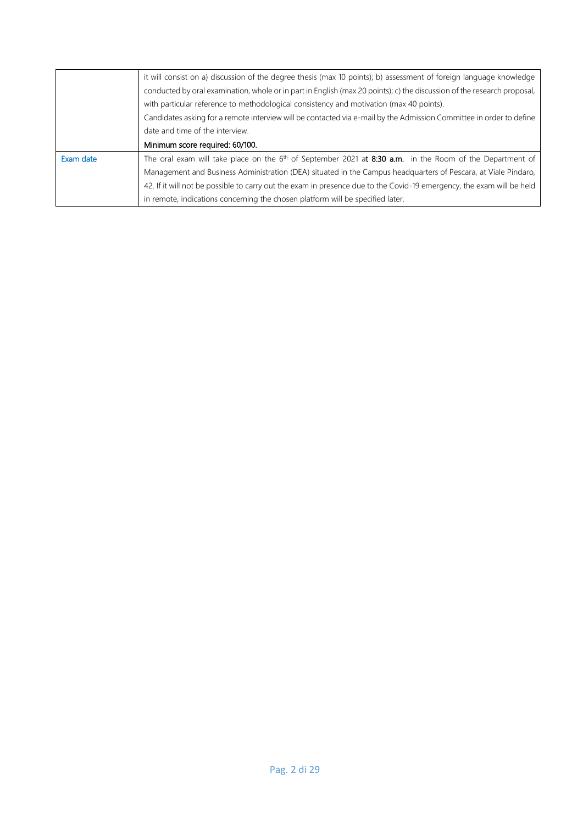|           | it will consist on a) discussion of the degree thesis (max 10 points); b) assessment of foreign language knowledge      |
|-----------|-------------------------------------------------------------------------------------------------------------------------|
|           | conducted by oral examination, whole or in part in English (max 20 points); c) the discussion of the research proposal, |
|           | with particular reference to methodological consistency and motivation (max 40 points).                                 |
|           | Candidates asking for a remote interview will be contacted via e-mail by the Admission Committee in order to define     |
|           | date and time of the interview.                                                                                         |
|           | Minimum score required: 60/100.                                                                                         |
| Exam date | The oral exam will take place on the $6th$ of September 2021 at 8:30 a.m. in the Room of the Department of              |
|           | Management and Business Administration (DEA) situated in the Campus headquarters of Pescara, at Viale Pindaro,          |
|           | 42. If it will not be possible to carry out the exam in presence due to the Covid-19 emergency, the exam will be held   |
|           |                                                                                                                         |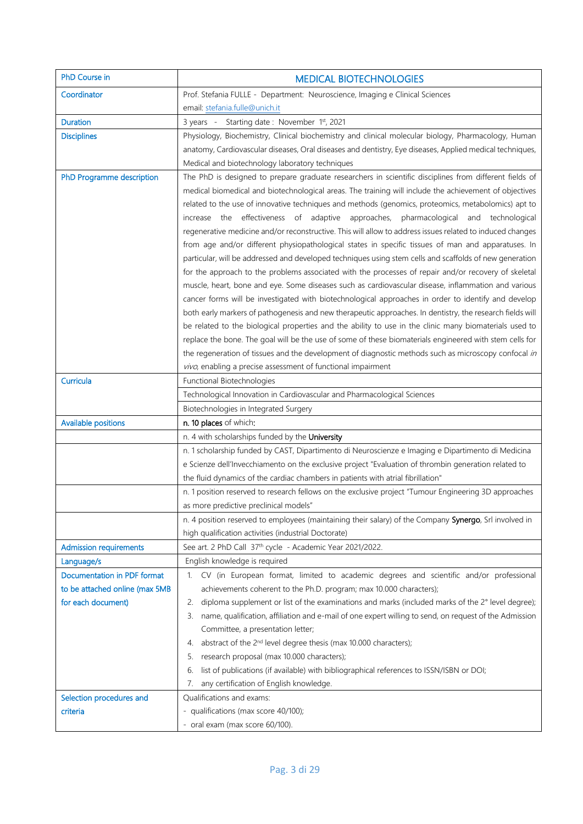| PhD Course in                  | <b>MEDICAL BIOTECHNOLOGIES</b>                                                                                                                        |
|--------------------------------|-------------------------------------------------------------------------------------------------------------------------------------------------------|
| Coordinator                    | Prof. Stefania FULLE - Department: Neuroscience, Imaging e Clinical Sciences                                                                          |
|                                | email: stefania.fulle@unich.it                                                                                                                        |
| <b>Duration</b>                | 3 years - Starting date: November 1st, 2021                                                                                                           |
| <b>Disciplines</b>             | Physiology, Biochemistry, Clinical biochemistry and clinical molecular biology, Pharmacology, Human                                                   |
|                                | anatomy, Cardiovascular diseases, Oral diseases and dentistry, Eye diseases, Applied medical techniques,                                              |
|                                | Medical and biotechnology laboratory techniques                                                                                                       |
| PhD Programme description      | The PhD is designed to prepare graduate researchers in scientific disciplines from different fields of                                                |
|                                | medical biomedical and biotechnological areas. The training will include the achievement of objectives                                                |
|                                | related to the use of innovative techniques and methods (genomics, proteomics, metabolomics) apt to                                                   |
|                                | increase the effectiveness of adaptive approaches, pharmacological and technological                                                                  |
|                                | regenerative medicine and/or reconstructive. This will allow to address issues related to induced changes                                             |
|                                | from age and/or different physiopathological states in specific tissues of man and apparatuses. In                                                    |
|                                | particular, will be addressed and developed techniques using stem cells and scaffolds of new generation                                               |
|                                | for the approach to the problems associated with the processes of repair and/or recovery of skeletal                                                  |
|                                | muscle, heart, bone and eye. Some diseases such as cardiovascular disease, inflammation and various                                                   |
|                                | cancer forms will be investigated with biotechnological approaches in order to identify and develop                                                   |
|                                | both early markers of pathogenesis and new therapeutic approaches. In dentistry, the research fields will                                             |
|                                | be related to the biological properties and the ability to use in the clinic many biomaterials used to                                                |
|                                | replace the bone. The goal will be the use of some of these biomaterials engineered with stem cells for                                               |
|                                | the regeneration of tissues and the development of diagnostic methods such as microscopy confocal in                                                  |
|                                | vivo, enabling a precise assessment of functional impairment                                                                                          |
| Curricula                      | Functional Biotechnologies                                                                                                                            |
|                                | Technological Innovation in Cardiovascular and Pharmacological Sciences                                                                               |
|                                | Biotechnologies in Integrated Surgery                                                                                                                 |
| <b>Available positions</b>     | n. 10 places of which:                                                                                                                                |
|                                | n. 4 with scholarships funded by the University<br>n. 1 scholarship funded by CAST, Dipartimento di Neuroscienze e Imaging e Dipartimento di Medicina |
|                                | e Scienze dell'Invecchiamento on the exclusive project "Evaluation of thrombin generation related to                                                  |
|                                | the fluid dynamics of the cardiac chambers in patients with atrial fibrillation"                                                                      |
|                                | n. 1 position reserved to research fellows on the exclusive project "Tumour Engineering 3D approaches                                                 |
|                                | as more predictive preclinical models"                                                                                                                |
|                                | n. 4 position reserved to employees (maintaining their salary) of the Company Synergo, Srl involved in                                                |
|                                | high qualification activities (industrial Doctorate)                                                                                                  |
| <b>Admission requirements</b>  | See art. 2 PhD Call 37th cycle - Academic Year 2021/2022.                                                                                             |
| Language/s                     | English knowledge is required                                                                                                                         |
| Documentation in PDF format    | CV (in European format, limited to academic degrees and scientific and/or professional<br>$1_{\cdot}$                                                 |
| to be attached online (max 5MB | achievements coherent to the Ph.D. program; max 10.000 characters);                                                                                   |
| for each document)             | diploma supplement or list of the examinations and marks (included marks of the 2° level degree);<br>2.                                               |
|                                | 3. name, qualification, affiliation and e-mail of one expert willing to send, on request of the Admission                                             |
|                                | Committee, a presentation letter;                                                                                                                     |
|                                | abstract of the 2 <sup>nd</sup> level degree thesis (max 10.000 characters);<br>4.                                                                    |
|                                | research proposal (max 10.000 characters);<br>5.                                                                                                      |
|                                | list of publications (if available) with bibliographical references to ISSN/ISBN or DOI;<br>6.                                                        |
|                                | any certification of English knowledge.<br>7.                                                                                                         |
| Selection procedures and       | Qualifications and exams:                                                                                                                             |
| criteria                       | - qualifications (max score 40/100);                                                                                                                  |
|                                | - oral exam (max score 60/100).                                                                                                                       |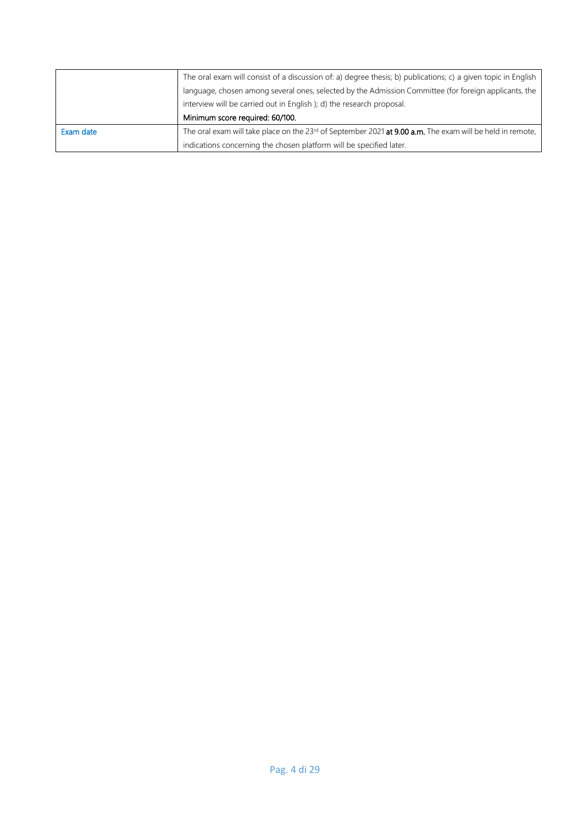|           | The oral exam will consist of a discussion of: a) degree thesis; b) publications; c) a given topic in English                |
|-----------|------------------------------------------------------------------------------------------------------------------------------|
|           | language, chosen among several ones, selected by the Admission Committee (for foreign applicants, the                        |
|           | interview will be carried out in English ); d) the research proposal.                                                        |
|           | Minimum score required: 60/100.                                                                                              |
| Exam date | The oral exam will take place on the 23 <sup>rd</sup> of September 2021 <b>at 9.00 a.m.</b> The exam will be held in remote, |
|           | indications concerning the chosen platform will be specified later.                                                          |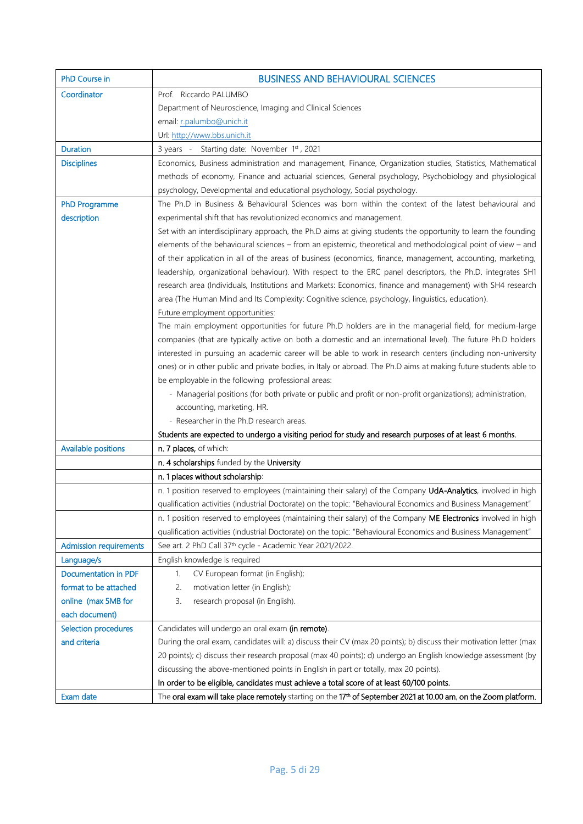| PhD Course in                 | <b>BUSINESS AND BEHAVIOURAL SCIENCES</b>                                                                                     |
|-------------------------------|------------------------------------------------------------------------------------------------------------------------------|
| Coordinator                   | Prof. Riccardo PALUMBO                                                                                                       |
|                               | Department of Neuroscience, Imaging and Clinical Sciences                                                                    |
|                               | email: r.palumbo@unich.it                                                                                                    |
|                               | Url: http://www.bbs.unich.it                                                                                                 |
| <b>Duration</b>               | 3 years - Starting date: November 1st, 2021                                                                                  |
| <b>Disciplines</b>            | Economics, Business administration and management, Finance, Organization studies, Statistics, Mathematical                   |
|                               | methods of economy, Finance and actuarial sciences, General psychology, Psychobiology and physiological                      |
|                               | psychology, Developmental and educational psychology, Social psychology.                                                     |
| <b>PhD Programme</b>          | The Ph.D in Business & Behavioural Sciences was born within the context of the latest behavioural and                        |
| description                   | experimental shift that has revolutionized economics and management.                                                         |
|                               | Set with an interdisciplinary approach, the Ph.D aims at giving students the opportunity to learn the founding               |
|                               | elements of the behavioural sciences - from an epistemic, theoretical and methodological point of view - and                 |
|                               | of their application in all of the areas of business (economics, finance, management, accounting, marketing,                 |
|                               | leadership, organizational behaviour). With respect to the ERC panel descriptors, the Ph.D. integrates SH1                   |
|                               | research area (Individuals, Institutions and Markets: Economics, finance and management) with SH4 research                   |
|                               | area (The Human Mind and Its Complexity: Cognitive science, psychology, linguistics, education).                             |
|                               | Future employment opportunities:                                                                                             |
|                               | The main employment opportunities for future Ph.D holders are in the managerial field, for medium-large                      |
|                               | companies (that are typically active on both a domestic and an international level). The future Ph.D holders                 |
|                               | interested in pursuing an academic career will be able to work in research centers (including non-university                 |
|                               | ones) or in other public and private bodies, in Italy or abroad. The Ph.D aims at making future students able to             |
|                               | be employable in the following professional areas:                                                                           |
|                               | - Managerial positions (for both private or public and profit or non-profit organizations); administration,                  |
|                               | accounting, marketing, HR.                                                                                                   |
|                               | - Researcher in the Ph.D research areas.                                                                                     |
|                               | Students are expected to undergo a visiting period for study and research purposes of at least 6 months.                     |
| <b>Available positions</b>    | n. 7 places, of which:                                                                                                       |
|                               | n. 4 scholarships funded by the University                                                                                   |
|                               | n. 1 places without scholarship:                                                                                             |
|                               | n. 1 position reserved to employees (maintaining their salary) of the Company UdA-Analytics, involved in high                |
|                               | qualification activities (industrial Doctorate) on the topic: "Behavioural Economics and Business Management"                |
|                               | n. 1 position reserved to employees (maintaining their salary) of the Company ME Electronics involved in high                |
|                               | qualification activities (industrial Doctorate) on the topic: "Behavioural Economics and Business Management"                |
| <b>Admission requirements</b> | See art. 2 PhD Call 37 <sup>th</sup> cycle - Academic Year 2021/2022.                                                        |
| Language/s                    | English knowledge is required                                                                                                |
| <b>Documentation in PDF</b>   | CV European format (in English);<br>1.                                                                                       |
| format to be attached         | motivation letter (in English);<br>2.                                                                                        |
| online (max 5MB for           | research proposal (in English).<br>3.                                                                                        |
| each document)                |                                                                                                                              |
| <b>Selection procedures</b>   | Candidates will undergo an oral exam (in remote).                                                                            |
| and criteria                  | During the oral exam, candidates will: a) discuss their CV (max 20 points); b) discuss their motivation letter (max          |
|                               | 20 points); c) discuss their research proposal (max 40 points); d) undergo an English knowledge assessment (by               |
|                               | discussing the above-mentioned points in English in part or totally, max 20 points).                                         |
|                               | In order to be eligible, candidates must achieve a total score of at least 60/100 points.                                    |
| Exam date                     | The oral exam will take place remotely starting on the 17 <sup>th</sup> of September 2021 at 10.00 am, on the Zoom platform. |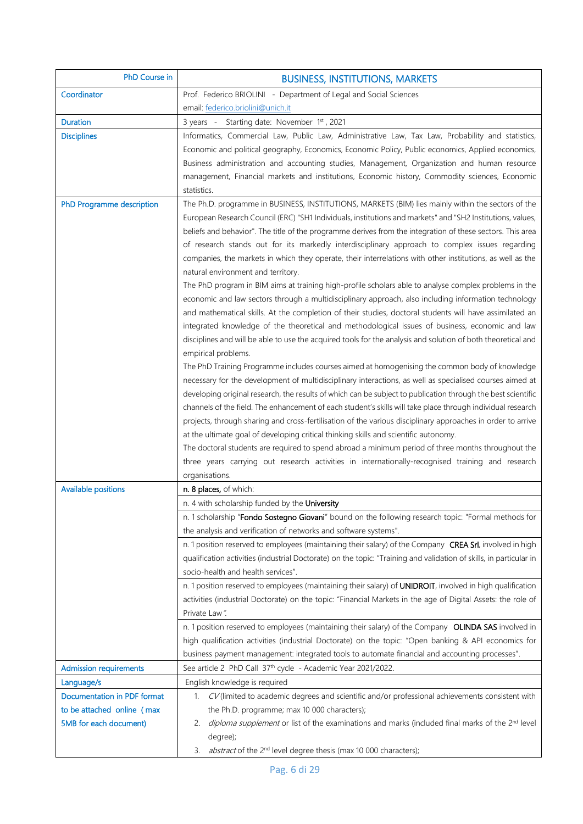| PhD Course in                                                                       | <b>BUSINESS, INSTITUTIONS, MARKETS</b>                                                                                                                                                                                                                                                                                                                                                                                                                                                                                                                                                                                                                                                                                                                                                                                                                                                                                                                                                                                                                                                                                                                                                                                                                                                                                                                                                                                                                                                                                                                                                                                                                                                                                                                                                                                                                                                                                                                                                                                                     |
|-------------------------------------------------------------------------------------|--------------------------------------------------------------------------------------------------------------------------------------------------------------------------------------------------------------------------------------------------------------------------------------------------------------------------------------------------------------------------------------------------------------------------------------------------------------------------------------------------------------------------------------------------------------------------------------------------------------------------------------------------------------------------------------------------------------------------------------------------------------------------------------------------------------------------------------------------------------------------------------------------------------------------------------------------------------------------------------------------------------------------------------------------------------------------------------------------------------------------------------------------------------------------------------------------------------------------------------------------------------------------------------------------------------------------------------------------------------------------------------------------------------------------------------------------------------------------------------------------------------------------------------------------------------------------------------------------------------------------------------------------------------------------------------------------------------------------------------------------------------------------------------------------------------------------------------------------------------------------------------------------------------------------------------------------------------------------------------------------------------------------------------------|
| Coordinator                                                                         | Prof. Federico BRIOLINI - Department of Legal and Social Sciences                                                                                                                                                                                                                                                                                                                                                                                                                                                                                                                                                                                                                                                                                                                                                                                                                                                                                                                                                                                                                                                                                                                                                                                                                                                                                                                                                                                                                                                                                                                                                                                                                                                                                                                                                                                                                                                                                                                                                                          |
|                                                                                     | email: federico.briolini@unich.it                                                                                                                                                                                                                                                                                                                                                                                                                                                                                                                                                                                                                                                                                                                                                                                                                                                                                                                                                                                                                                                                                                                                                                                                                                                                                                                                                                                                                                                                                                                                                                                                                                                                                                                                                                                                                                                                                                                                                                                                          |
| <b>Duration</b>                                                                     | 3 years - Starting date: November 1st, 2021                                                                                                                                                                                                                                                                                                                                                                                                                                                                                                                                                                                                                                                                                                                                                                                                                                                                                                                                                                                                                                                                                                                                                                                                                                                                                                                                                                                                                                                                                                                                                                                                                                                                                                                                                                                                                                                                                                                                                                                                |
| <b>Disciplines</b>                                                                  | Informatics, Commercial Law, Public Law, Administrative Law, Tax Law, Probability and statistics,<br>Economic and political geography, Economics, Economic Policy, Public economics, Applied economics,<br>Business administration and accounting studies, Management, Organization and human resource<br>management, Financial markets and institutions, Economic history, Commodity sciences, Economic<br>statistics.                                                                                                                                                                                                                                                                                                                                                                                                                                                                                                                                                                                                                                                                                                                                                                                                                                                                                                                                                                                                                                                                                                                                                                                                                                                                                                                                                                                                                                                                                                                                                                                                                    |
| PhD Programme description                                                           | The Ph.D. programme in BUSINESS, INSTITUTIONS, MARKETS (BIM) lies mainly within the sectors of the<br>European Research Council (ERC) "SH1 Individuals, institutions and markets" and "SH2 Institutions, values,<br>beliefs and behavior". The title of the programme derives from the integration of these sectors. This area<br>of research stands out for its markedly interdisciplinary approach to complex issues regarding<br>companies, the markets in which they operate, their interrelations with other institutions, as well as the<br>natural environment and territory.<br>The PhD program in BIM aims at training high-profile scholars able to analyse complex problems in the<br>economic and law sectors through a multidisciplinary approach, also including information technology<br>and mathematical skills. At the completion of their studies, doctoral students will have assimilated an<br>integrated knowledge of the theoretical and methodological issues of business, economic and law<br>disciplines and will be able to use the acquired tools for the analysis and solution of both theoretical and<br>empirical problems.<br>The PhD Training Programme includes courses aimed at homogenising the common body of knowledge<br>necessary for the development of multidisciplinary interactions, as well as specialised courses aimed at<br>developing original research, the results of which can be subject to publication through the best scientific<br>channels of the field. The enhancement of each student's skills will take place through individual research<br>projects, through sharing and cross-fertilisation of the various disciplinary approaches in order to arrive<br>at the ultimate goal of developing critical thinking skills and scientific autonomy.<br>The doctoral students are required to spend abroad a minimum period of three months throughout the<br>three years carrying out research activities in internationally-recognised training and research<br>organisations. |
| <b>Available positions</b>                                                          | n. 8 places, of which:                                                                                                                                                                                                                                                                                                                                                                                                                                                                                                                                                                                                                                                                                                                                                                                                                                                                                                                                                                                                                                                                                                                                                                                                                                                                                                                                                                                                                                                                                                                                                                                                                                                                                                                                                                                                                                                                                                                                                                                                                     |
|                                                                                     | n. 4 with scholarship funded by the University                                                                                                                                                                                                                                                                                                                                                                                                                                                                                                                                                                                                                                                                                                                                                                                                                                                                                                                                                                                                                                                                                                                                                                                                                                                                                                                                                                                                                                                                                                                                                                                                                                                                                                                                                                                                                                                                                                                                                                                             |
|                                                                                     | n. 1 scholarship "Fondo Sostegno Giovani" bound on the following research topic: "Formal methods for                                                                                                                                                                                                                                                                                                                                                                                                                                                                                                                                                                                                                                                                                                                                                                                                                                                                                                                                                                                                                                                                                                                                                                                                                                                                                                                                                                                                                                                                                                                                                                                                                                                                                                                                                                                                                                                                                                                                       |
|                                                                                     | the analysis and verification of networks and software systems".                                                                                                                                                                                                                                                                                                                                                                                                                                                                                                                                                                                                                                                                                                                                                                                                                                                                                                                                                                                                                                                                                                                                                                                                                                                                                                                                                                                                                                                                                                                                                                                                                                                                                                                                                                                                                                                                                                                                                                           |
|                                                                                     | n. 1 position reserved to employees (maintaining their salary) of the Company CREA Srl, involved in high<br>qualification activities (industrial Doctorate) on the topic: "Training and validation of skills, in particular in<br>socio-health and health services".                                                                                                                                                                                                                                                                                                                                                                                                                                                                                                                                                                                                                                                                                                                                                                                                                                                                                                                                                                                                                                                                                                                                                                                                                                                                                                                                                                                                                                                                                                                                                                                                                                                                                                                                                                       |
|                                                                                     | n. 1 position reserved to employees (maintaining their salary) of UNIDROIT, involved in high qualification<br>activities (industrial Doctorate) on the topic: "Financial Markets in the age of Digital Assets: the role of<br>Private Law".                                                                                                                                                                                                                                                                                                                                                                                                                                                                                                                                                                                                                                                                                                                                                                                                                                                                                                                                                                                                                                                                                                                                                                                                                                                                                                                                                                                                                                                                                                                                                                                                                                                                                                                                                                                                |
|                                                                                     | n. 1 position reserved to employees (maintaining their salary) of the Company OLINDA SAS involved in<br>high qualification activities (industrial Doctorate) on the topic: "Open banking & API economics for<br>business payment management: integrated tools to automate financial and accounting processes".                                                                                                                                                                                                                                                                                                                                                                                                                                                                                                                                                                                                                                                                                                                                                                                                                                                                                                                                                                                                                                                                                                                                                                                                                                                                                                                                                                                                                                                                                                                                                                                                                                                                                                                             |
| <b>Admission requirements</b>                                                       | See article 2 PhD Call 37 <sup>th</sup> cycle - Academic Year 2021/2022.                                                                                                                                                                                                                                                                                                                                                                                                                                                                                                                                                                                                                                                                                                                                                                                                                                                                                                                                                                                                                                                                                                                                                                                                                                                                                                                                                                                                                                                                                                                                                                                                                                                                                                                                                                                                                                                                                                                                                                   |
| Language/s                                                                          | English knowledge is required                                                                                                                                                                                                                                                                                                                                                                                                                                                                                                                                                                                                                                                                                                                                                                                                                                                                                                                                                                                                                                                                                                                                                                                                                                                                                                                                                                                                                                                                                                                                                                                                                                                                                                                                                                                                                                                                                                                                                                                                              |
| Documentation in PDF format<br>to be attached online (max<br>5MB for each document) | 1. CV (limited to academic degrees and scientific and/or professional achievements consistent with<br>the Ph.D. programme; max 10 000 characters);<br>diploma supplement or list of the examinations and marks (included final marks of the 2nd level<br>2.<br>degree);                                                                                                                                                                                                                                                                                                                                                                                                                                                                                                                                                                                                                                                                                                                                                                                                                                                                                                                                                                                                                                                                                                                                                                                                                                                                                                                                                                                                                                                                                                                                                                                                                                                                                                                                                                    |
|                                                                                     | abstract of the 2 <sup>nd</sup> level degree thesis (max 10 000 characters);<br>3.                                                                                                                                                                                                                                                                                                                                                                                                                                                                                                                                                                                                                                                                                                                                                                                                                                                                                                                                                                                                                                                                                                                                                                                                                                                                                                                                                                                                                                                                                                                                                                                                                                                                                                                                                                                                                                                                                                                                                         |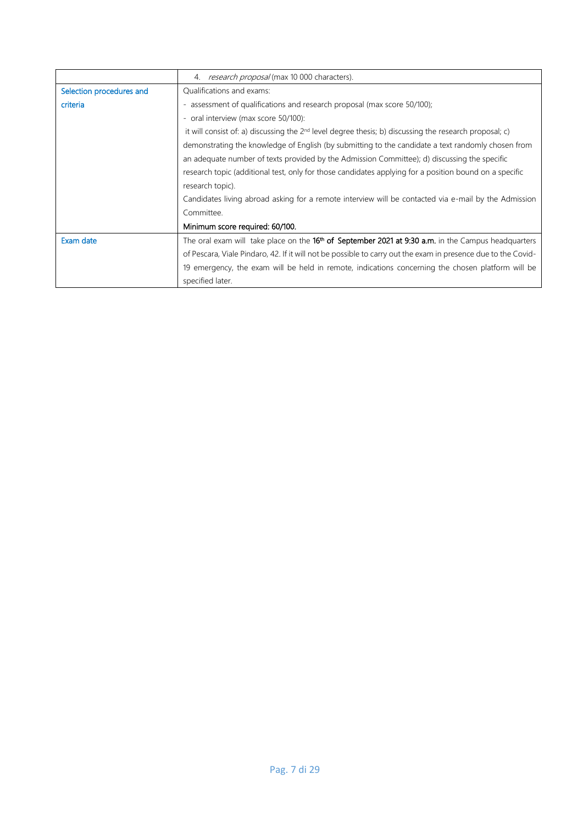|                          | 4. research proposal (max 10 000 characters).                                                                   |
|--------------------------|-----------------------------------------------------------------------------------------------------------------|
| Selection procedures and | Qualifications and exams:                                                                                       |
| criteria                 | - assessment of qualifications and research proposal (max score 50/100);                                        |
|                          | - oral interview (max score 50/100):                                                                            |
|                          | it will consist of: a) discussing the $2^{nd}$ level degree thesis; b) discussing the research proposal; c)     |
|                          | demonstrating the knowledge of English (by submitting to the candidate a text randomly chosen from              |
|                          | an adequate number of texts provided by the Admission Committee); d) discussing the specific                    |
|                          | research topic (additional test, only for those candidates applying for a position bound on a specific          |
|                          | research topic).                                                                                                |
|                          | Candidates living abroad asking for a remote interview will be contacted via e-mail by the Admission            |
|                          | Committee.                                                                                                      |
|                          | Minimum score required: 60/100.                                                                                 |
| Exam date                | The oral exam will take place on the 16 <sup>th</sup> of September 2021 at 9:30 a.m. in the Campus headquarters |
|                          | of Pescara, Viale Pindaro, 42. If it will not be possible to carry out the exam in presence due to the Covid-   |
|                          | 19 emergency, the exam will be held in remote, indications concerning the chosen platform will be               |
|                          | specified later.                                                                                                |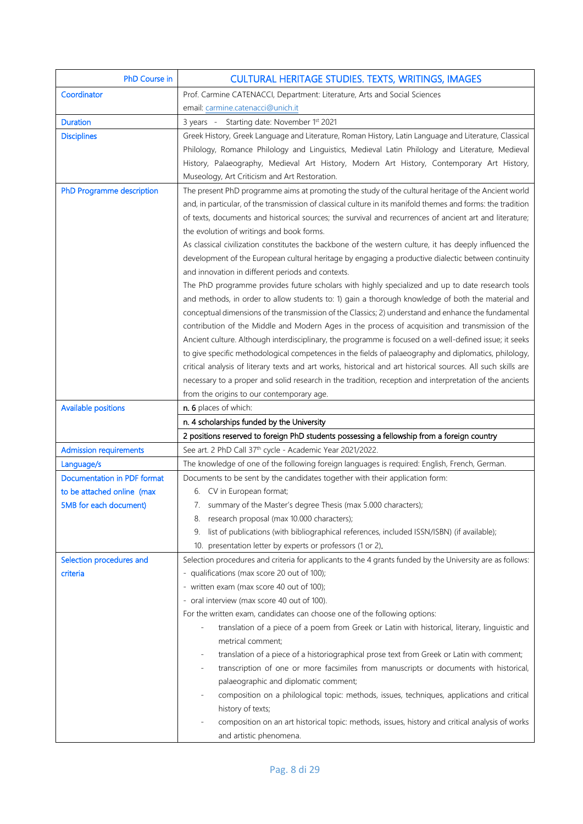| <b>PhD Course in</b>          | <b>CULTURAL HERITAGE STUDIES. TEXTS, WRITINGS, IMAGES</b>                                                     |
|-------------------------------|---------------------------------------------------------------------------------------------------------------|
| Coordinator                   | Prof. Carmine CATENACCI, Department: Literature, Arts and Social Sciences                                     |
|                               | email: carmine.catenacci@unich.it                                                                             |
| <b>Duration</b>               | 3 years - Starting date: November 1st 2021                                                                    |
| <b>Disciplines</b>            | Greek History, Greek Language and Literature, Roman History, Latin Language and Literature, Classical         |
|                               | Philology, Romance Philology and Linguistics, Medieval Latin Philology and Literature, Medieval               |
|                               | History, Palaeography, Medieval Art History, Modern Art History, Contemporary Art History,                    |
|                               | Museology, Art Criticism and Art Restoration.                                                                 |
| PhD Programme description     | The present PhD programme aims at promoting the study of the cultural heritage of the Ancient world           |
|                               | and, in particular, of the transmission of classical culture in its manifold themes and forms: the tradition  |
|                               | of texts, documents and historical sources; the survival and recurrences of ancient art and literature;       |
|                               | the evolution of writings and book forms.                                                                     |
|                               | As classical civilization constitutes the backbone of the western culture, it has deeply influenced the       |
|                               | development of the European cultural heritage by engaging a productive dialectic between continuity           |
|                               | and innovation in different periods and contexts.                                                             |
|                               | The PhD programme provides future scholars with highly specialized and up to date research tools              |
|                               | and methods, in order to allow students to: 1) gain a thorough knowledge of both the material and             |
|                               | conceptual dimensions of the transmission of the Classics; 2) understand and enhance the fundamental          |
|                               | contribution of the Middle and Modern Ages in the process of acquisition and transmission of the              |
|                               | Ancient culture. Although interdisciplinary, the programme is focused on a well-defined issue; it seeks       |
|                               | to give specific methodological competences in the fields of palaeography and diplomatics, philology,         |
|                               | critical analysis of literary texts and art works, historical and art historical sources. All such skills are |
|                               | necessary to a proper and solid research in the tradition, reception and interpretation of the ancients       |
|                               | from the origins to our contemporary age.                                                                     |
| <b>Available positions</b>    | n. 6 places of which:                                                                                         |
|                               | n. 4 scholarships funded by the University                                                                    |
|                               | 2 positions reserved to foreign PhD students possessing a fellowship from a foreign country                   |
| <b>Admission requirements</b> | See art. 2 PhD Call 37 <sup>th</sup> cycle - Academic Year 2021/2022.                                         |
| Language/s                    | The knowledge of one of the following foreign languages is required: English, French, German.                 |
| Documentation in PDF format   | Documents to be sent by the candidates together with their application form:                                  |
| to be attached online (max    | 6. CV in European format;                                                                                     |
| 5MB for each document)        | 7. summary of the Master's degree Thesis (max 5.000 characters);                                              |
|                               | 8. research proposal (max 10.000 characters);                                                                 |
|                               | list of publications (with bibliographical references, included ISSN/ISBN) (if available);<br>9.              |
|                               | 10. presentation letter by experts or professors (1 or 2).                                                    |
| Selection procedures and      | Selection procedures and criteria for applicants to the 4 grants funded by the University are as follows:     |
| criteria                      | qualifications (max score 20 out of 100);                                                                     |
|                               | - written exam (max score 40 out of 100);                                                                     |
|                               | - oral interview (max score 40 out of 100).                                                                   |
|                               | For the written exam, candidates can choose one of the following options:                                     |
|                               | translation of a piece of a poem from Greek or Latin with historical, literary, linguistic and                |
|                               | metrical comment;                                                                                             |
|                               | translation of a piece of a historiographical prose text from Greek or Latin with comment;                    |
|                               | transcription of one or more facsimiles from manuscripts or documents with historical,                        |
|                               | palaeographic and diplomatic comment;                                                                         |
|                               | composition on a philological topic: methods, issues, techniques, applications and critical                   |
|                               | history of texts;                                                                                             |
|                               | composition on an art historical topic: methods, issues, history and critical analysis of works               |
|                               |                                                                                                               |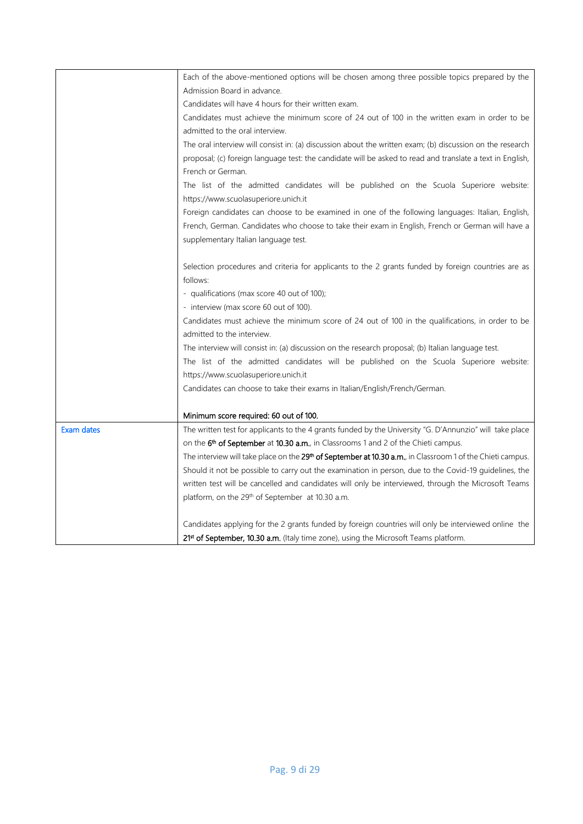|                   | Each of the above-mentioned options will be chosen among three possible topics prepared by the                         |
|-------------------|------------------------------------------------------------------------------------------------------------------------|
|                   | Admission Board in advance.                                                                                            |
|                   | Candidates will have 4 hours for their written exam.                                                                   |
|                   | Candidates must achieve the minimum score of 24 out of 100 in the written exam in order to be                          |
|                   | admitted to the oral interview.                                                                                        |
|                   | The oral interview will consist in: (a) discussion about the written exam; (b) discussion on the research              |
|                   | proposal; (c) foreign language test: the candidate will be asked to read and translate a text in English,              |
|                   | French or German.                                                                                                      |
|                   | The list of the admitted candidates will be published on the Scuola Superiore website:                                 |
|                   | https://www.scuolasuperiore.unich.it                                                                                   |
|                   | Foreign candidates can choose to be examined in one of the following languages: Italian, English,                      |
|                   | French, German. Candidates who choose to take their exam in English, French or German will have a                      |
|                   | supplementary Italian language test.                                                                                   |
|                   |                                                                                                                        |
|                   | Selection procedures and criteria for applicants to the 2 grants funded by foreign countries are as                    |
|                   | follows:                                                                                                               |
|                   | - qualifications (max score 40 out of 100);                                                                            |
|                   | - interview (max score 60 out of 100).                                                                                 |
|                   | Candidates must achieve the minimum score of 24 out of 100 in the qualifications, in order to be                       |
|                   | admitted to the interview.                                                                                             |
|                   | The interview will consist in: (a) discussion on the research proposal; (b) Italian language test.                     |
|                   | The list of the admitted candidates will be published on the Scuola Superiore website:                                 |
|                   | https://www.scuolasuperiore.unich.it                                                                                   |
|                   | Candidates can choose to take their exams in Italian/English/French/German.                                            |
|                   |                                                                                                                        |
|                   | Minimum score required: 60 out of 100.                                                                                 |
| <b>Exam dates</b> | The written test for applicants to the 4 grants funded by the University "G. D'Annunzio" will take place               |
|                   | on the 6 <sup>th</sup> of September at 10.30 a.m., in Classrooms 1 and 2 of the Chieti campus.                         |
|                   | The interview will take place on the 29 <sup>th</sup> of September at 10.30 a.m., in Classroom 1 of the Chieti campus. |
|                   | Should it not be possible to carry out the examination in person, due to the Covid-19 guidelines, the                  |
|                   | written test will be cancelled and candidates will only be interviewed, through the Microsoft Teams                    |
|                   | platform, on the 29 <sup>th</sup> of September at 10.30 a.m.                                                           |
|                   | Candidates applying for the 2 grants funded by foreign countries will only be interviewed online the                   |
|                   | 21st of September, 10.30 a.m. (Italy time zone), using the Microsoft Teams platform.                                   |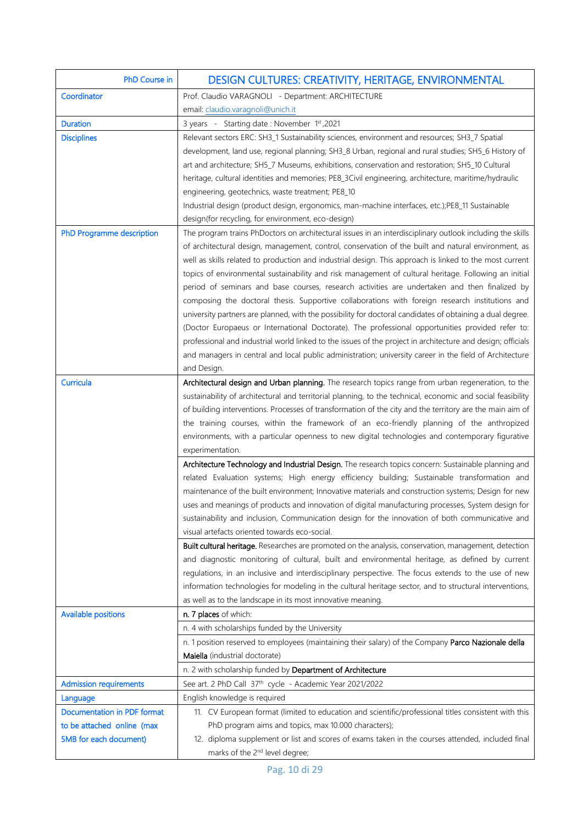| PhD Course in                 | DESIGN CULTURES: CREATIVITY, HERITAGE, ENVIRONMENTAL                                                                                                                                                |
|-------------------------------|-----------------------------------------------------------------------------------------------------------------------------------------------------------------------------------------------------|
| Coordinator                   | Prof. Claudio VARAGNOLI - Department: ARCHITECTURE                                                                                                                                                  |
|                               | email: claudio.varagnoli@unich.it                                                                                                                                                                   |
| <b>Duration</b>               | 3 years - Starting date: November 1st, 2021                                                                                                                                                         |
| <b>Disciplines</b>            | Relevant sectors ERC: SH3_1 Sustainability sciences, environment and resources; SH3_7 Spatial                                                                                                       |
|                               | development, land use, regional planning; SH3_8 Urban, regional and rural studies; SH5_6 History of                                                                                                 |
|                               | art and architecture; SH5_7 Museums, exhibitions, conservation and restoration; SH5_10 Cultural                                                                                                     |
|                               | heritage, cultural identities and memories; PE8_3Civil engineering, architecture, maritime/hydraulic                                                                                                |
|                               | engineering, geotechnics, waste treatment; PE8_10                                                                                                                                                   |
|                               | Industrial design (product design, ergonomics, man-machine interfaces, etc.);PE8_11 Sustainable                                                                                                     |
|                               | design(for recycling, for environment, eco-design)                                                                                                                                                  |
| PhD Programme description     | The program trains PhDoctors on architectural issues in an interdisciplinary outlook including the skills                                                                                           |
|                               | of architectural design, management, control, conservation of the built and natural environment, as                                                                                                 |
|                               | well as skills related to production and industrial design. This approach is linked to the most current                                                                                             |
|                               | topics of environmental sustainability and risk management of cultural heritage. Following an initial                                                                                               |
|                               | period of seminars and base courses, research activities are undertaken and then finalized by                                                                                                       |
|                               | composing the doctoral thesis. Supportive collaborations with foreign research institutions and                                                                                                     |
|                               | university partners are planned, with the possibility for doctoral candidates of obtaining a dual degree.                                                                                           |
|                               | (Doctor Europaeus or International Doctorate). The professional opportunities provided refer to:                                                                                                    |
|                               | professional and industrial world linked to the issues of the project in architecture and design; officials                                                                                         |
|                               | and managers in central and local public administration; university career in the field of Architecture                                                                                             |
|                               | and Design.                                                                                                                                                                                         |
| Curricula                     | Architectural design and Urban planning. The research topics range from urban regeneration, to the                                                                                                  |
|                               | sustainability of architectural and territorial planning, to the technical, economic and social feasibility                                                                                         |
|                               | of building interventions. Processes of transformation of the city and the territory are the main aim of                                                                                            |
|                               | the training courses, within the framework of an eco-friendly planning of the anthropized                                                                                                           |
|                               | environments, with a particular openness to new digital technologies and contemporary figurative                                                                                                    |
|                               | experimentation.                                                                                                                                                                                    |
|                               | Architecture Technology and Industrial Design. The research topics concern: Sustainable planning and<br>related Evaluation systems; High energy efficiency building; Sustainable transformation and |
|                               | maintenance of the built environment; Innovative materials and construction systems; Design for new                                                                                                 |
|                               | uses and meanings of products and innovation of digital manufacturing processes, System design for                                                                                                  |
|                               | sustainability and inclusion, Communication design for the innovation of both communicative and                                                                                                     |
|                               | visual artefacts oriented towards eco-social.                                                                                                                                                       |
|                               | Built cultural heritage. Researches are promoted on the analysis, conservation, management, detection                                                                                               |
|                               | and diagnostic monitoring of cultural, built and environmental heritage, as defined by current                                                                                                      |
|                               | regulations, in an inclusive and interdisciplinary perspective. The focus extends to the use of new                                                                                                 |
|                               | information technologies for modeling in the cultural heritage sector, and to structural interventions,                                                                                             |
|                               | as well as to the landscape in its most innovative meaning.                                                                                                                                         |
| <b>Available positions</b>    | n. 7 places of which:                                                                                                                                                                               |
|                               | n. 4 with scholarships funded by the University                                                                                                                                                     |
|                               | n. 1 position reserved to employees (maintaining their salary) of the Company Parco Nazionale della                                                                                                 |
|                               | Maiella (industrial doctorate)                                                                                                                                                                      |
|                               | n. 2 with scholarship funded by Department of Architecture                                                                                                                                          |
| <b>Admission requirements</b> | See art. 2 PhD Call 37 <sup>th</sup> cycle - Academic Year 2021/2022                                                                                                                                |
| Language                      | English knowledge is required                                                                                                                                                                       |
| Documentation in PDF format   | 11. CV European format (limited to education and scientific/professional titles consistent with this                                                                                                |
| to be attached online (max    | PhD program aims and topics, max 10.000 characters);                                                                                                                                                |
| 5MB for each document)        | 12. diploma supplement or list and scores of exams taken in the courses attended, included final                                                                                                    |
|                               | marks of the 2 <sup>nd</sup> level degree;                                                                                                                                                          |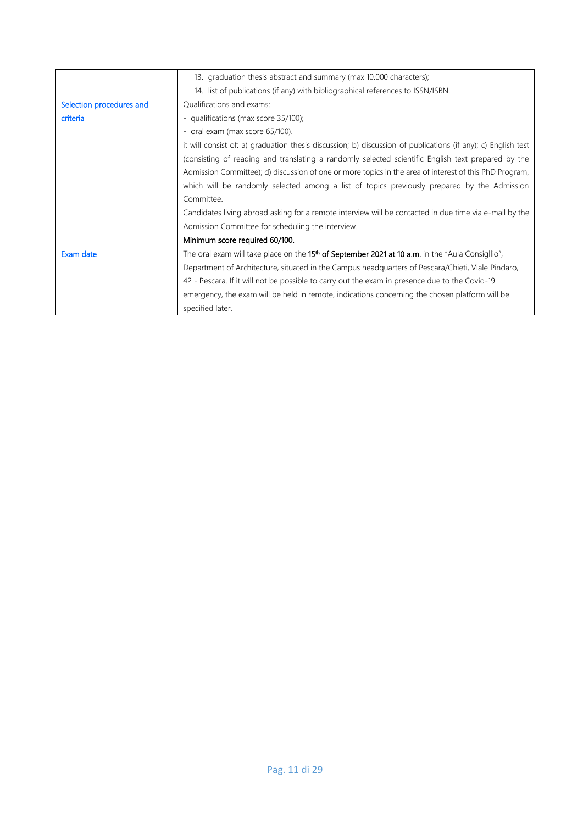|                          | 13. graduation thesis abstract and summary (max 10.000 characters);                                          |
|--------------------------|--------------------------------------------------------------------------------------------------------------|
|                          | 14. list of publications (if any) with bibliographical references to ISSN/ISBN.                              |
| Selection procedures and | Qualifications and exams:                                                                                    |
| criteria                 | - qualifications (max score 35/100);                                                                         |
|                          | - oral exam (max score 65/100).                                                                              |
|                          | it will consist of: a) graduation thesis discussion; b) discussion of publications (if any); c) English test |
|                          | (consisting of reading and translating a randomly selected scientific English text prepared by the           |
|                          | Admission Committee); d) discussion of one or more topics in the area of interest of this PhD Program,       |
|                          | which will be randomly selected among a list of topics previously prepared by the Admission                  |
|                          | Committee.                                                                                                   |
|                          | Candidates living abroad asking for a remote interview will be contacted in due time via e-mail by the       |
|                          | Admission Committee for scheduling the interview.                                                            |
|                          | Minimum score required 60/100.                                                                               |
| Exam date                | The oral exam will take place on the 15 <sup>th</sup> of September 2021 at 10 a.m. in the "Aula Consigllio", |
|                          | Department of Architecture, situated in the Campus headquarters of Pescara/Chieti, Viale Pindaro,            |
|                          | 42 - Pescara. If it will not be possible to carry out the exam in presence due to the Covid-19               |
|                          | emergency, the exam will be held in remote, indications concerning the chosen platform will be               |
|                          | specified later.                                                                                             |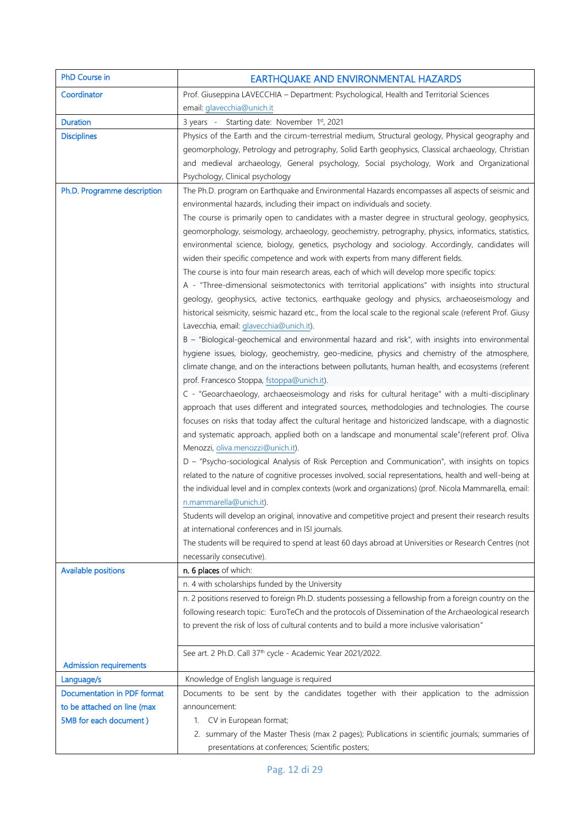| PhD Course in                 | EARTHQUAKE AND ENVIRONMENTAL HAZARDS                                                                         |
|-------------------------------|--------------------------------------------------------------------------------------------------------------|
| Coordinator                   | Prof. Giuseppina LAVECCHIA - Department: Psychological, Health and Territorial Sciences                      |
|                               | email: glavecchia@unich.it                                                                                   |
| <b>Duration</b>               | 3 years - Starting date: November 1st, 2021                                                                  |
| <b>Disciplines</b>            | Physics of the Earth and the circum-terrestrial medium, Structural geology, Physical geography and           |
|                               | geomorphology, Petrology and petrography, Solid Earth geophysics, Classical archaeology, Christian           |
|                               | and medieval archaeology, General psychology, Social psychology, Work and Organizational                     |
|                               | Psychology, Clinical psychology                                                                              |
| Ph.D. Programme description   | The Ph.D. program on Earthquake and Environmental Hazards encompasses all aspects of seismic and             |
|                               | environmental hazards, including their impact on individuals and society.                                    |
|                               | The course is primarily open to candidates with a master degree in structural geology, geophysics,           |
|                               | geomorphology, seismology, archaeology, geochemistry, petrography, physics, informatics, statistics,         |
|                               | environmental science, biology, genetics, psychology and sociology. Accordingly, candidates will             |
|                               | widen their specific competence and work with experts from many different fields.                            |
|                               | The course is into four main research areas, each of which will develop more specific topics:                |
|                               | A - "Three-dimensional seismotectonics with territorial applications" with insights into structural          |
|                               | geology, geophysics, active tectonics, earthquake geology and physics, archaeoseismology and                 |
|                               | historical seismicity, seismic hazard etc., from the local scale to the regional scale (referent Prof. Giusy |
|                               | Lavecchia, email: glavecchia@unich.it).                                                                      |
|                               | B - "Biological-geochemical and environmental hazard and risk", with insights into environmental             |
|                               | hygiene issues, biology, geochemistry, geo-medicine, physics and chemistry of the atmosphere,                |
|                               | climate change, and on the interactions between pollutants, human health, and ecosystems (referent           |
|                               | prof. Francesco Stoppa, fstoppa@unich.it).                                                                   |
|                               | C - "Geoarchaeology, archaeoseismology and risks for cultural heritage" with a multi-disciplinary            |
|                               | approach that uses different and integrated sources, methodologies and technologies. The course              |
|                               | focuses on risks that today affect the cultural heritage and historicized landscape, with a diagnostic       |
|                               | and systematic approach, applied both on a landscape and monumental scale"(referent prof. Oliva              |
|                               | Menozzi, oliva.menozzi@unich.it).                                                                            |
|                               | D - "Psycho-sociological Analysis of Risk Perception and Communication", with insights on topics             |
|                               | related to the nature of cognitive processes involved, social representations, health and well-being at      |
|                               | the individual level and in complex contexts (work and organizations) (prof. Nicola Mammarella, email:       |
|                               | n.mammarella@unich.it).                                                                                      |
|                               | Students will develop an original, innovative and competitive project and present their research results     |
|                               | at international conferences and in ISI journals.                                                            |
|                               | The students will be required to spend at least 60 days abroad at Universities or Research Centres (not      |
|                               | necessarily consecutive).                                                                                    |
| <b>Available positions</b>    | n. 6 places of which:                                                                                        |
|                               | n. 4 with scholarships funded by the University                                                              |
|                               | n. 2 positions reserved to foreign Ph.D. students possessing a fellowship from a foreign country on the      |
|                               | following research topic: 'EuroTeCh and the protocols of Dissemination of the Archaeological research        |
|                               | to prevent the risk of loss of cultural contents and to build a more inclusive valorisation"                 |
|                               | See art. 2 Ph.D. Call 37 <sup>th</sup> cycle - Academic Year 2021/2022.                                      |
| <b>Admission requirements</b> |                                                                                                              |
| Language/s                    | Knowledge of English language is required                                                                    |
| Documentation in PDF format   | Documents to be sent by the candidates together with their application to the admission                      |
| to be attached on line (max   | announcement:                                                                                                |
| 5MB for each document)        | 1. CV in European format;                                                                                    |
|                               | 2. summary of the Master Thesis (max 2 pages); Publications in scientific journals; summaries of             |
|                               | presentations at conferences; Scientific posters;                                                            |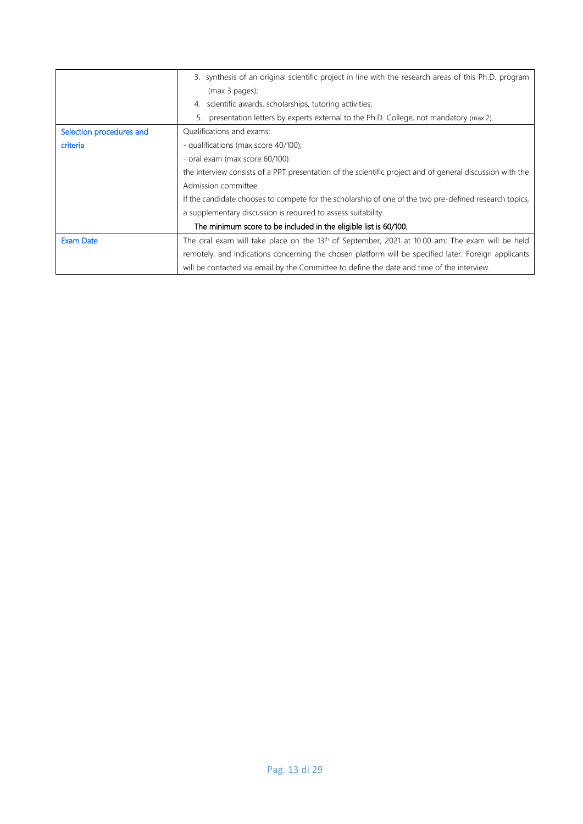|                          | 3. synthesis of an original scientific project in line with the research areas of this Ph.D. program      |
|--------------------------|-----------------------------------------------------------------------------------------------------------|
|                          | (max 3 pages);                                                                                            |
|                          | 4. scientific awards, scholarships, tutoring activities;                                                  |
|                          | 5. presentation letters by experts external to the Ph.D. College, not mandatory (max 2).                  |
| Selection procedures and | Qualifications and exams:                                                                                 |
| criteria                 | - qualifications (max score 40/100);                                                                      |
|                          | - oral exam (max score 60/100):                                                                           |
|                          | the interview consists of a PPT presentation of the scientific project and of general discussion with the |
|                          | Admission committee.                                                                                      |
|                          | If the candidate chooses to compete for the scholarship of one of the two pre-defined research topics,    |
|                          | a supplementary discussion is required to assess suitability.                                             |
|                          | The minimum score to be included in the eligible list is 60/100.                                          |
| <b>Exam Date</b>         | The oral exam will take place on the $13th$ of September, 2021 at 10.00 am; The exam will be held         |
|                          | remotely, and indications concerning the chosen platform will be specified later. Foreign applicants      |
|                          | will be contacted via email by the Committee to define the date and time of the interview.                |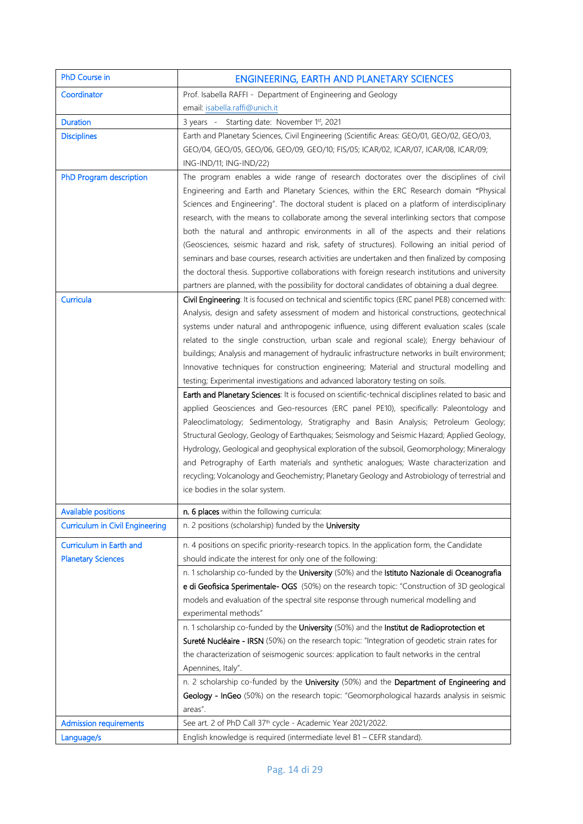| PhD Course in                          | <b>ENGINEERING, EARTH AND PLANETARY SCIENCES</b>                                                                                                                                               |
|----------------------------------------|------------------------------------------------------------------------------------------------------------------------------------------------------------------------------------------------|
| Coordinator                            | Prof. Isabella RAFFI - Department of Engineering and Geology                                                                                                                                   |
|                                        | email: isabella.raffi@unich.it                                                                                                                                                                 |
| <b>Duration</b>                        | 3 years - Starting date: November 1st, 2021                                                                                                                                                    |
| <b>Disciplines</b>                     | Earth and Planetary Sciences, Civil Engineering (Scientific Areas: GEO/01, GEO/02, GEO/03,                                                                                                     |
|                                        | GEO/04, GEO/05, GEO/06, GEO/09, GEO/10; FIS/05; ICAR/02, ICAR/07, ICAR/08, ICAR/09;                                                                                                            |
|                                        | ING-IND/11; ING-IND/22)                                                                                                                                                                        |
| PhD Program description                | The program enables a wide range of research doctorates over the disciplines of civil                                                                                                          |
|                                        | Engineering and Earth and Planetary Sciences, within the ERC Research domain "Physical                                                                                                         |
|                                        | Sciences and Engineering". The doctoral student is placed on a platform of interdisciplinary                                                                                                   |
|                                        | research, with the means to collaborate among the several interlinking sectors that compose                                                                                                    |
|                                        | both the natural and anthropic environments in all of the aspects and their relations                                                                                                          |
|                                        | (Geosciences, seismic hazard and risk, safety of structures). Following an initial period of                                                                                                   |
|                                        | seminars and base courses, research activities are undertaken and then finalized by composing                                                                                                  |
|                                        | the doctoral thesis. Supportive collaborations with foreign research institutions and university                                                                                               |
|                                        | partners are planned, with the possibility for doctoral candidates of obtaining a dual degree.                                                                                                 |
| Curricula                              | Civil Engineering: It is focused on technical and scientific topics (ERC panel PE8) concerned with:                                                                                            |
|                                        | Analysis, design and safety assessment of modern and historical constructions, geotechnical                                                                                                    |
|                                        | systems under natural and anthropogenic influence, using different evaluation scales (scale                                                                                                    |
|                                        | related to the single construction, urban scale and regional scale); Energy behaviour of                                                                                                       |
|                                        | buildings; Analysis and management of hydraulic infrastructure networks in built environment;                                                                                                  |
|                                        | Innovative techniques for construction engineering; Material and structural modelling and                                                                                                      |
|                                        | testing; Experimental investigations and advanced laboratory testing on soils.                                                                                                                 |
|                                        | Earth and Planetary Sciences: It is focused on scientific-technical disciplines related to basic and<br>applied Geosciences and Geo-resources (ERC panel PE10), specifically: Paleontology and |
|                                        | Paleoclimatology; Sedimentology, Stratigraphy and Basin Analysis; Petroleum Geology;                                                                                                           |
|                                        | Structural Geology, Geology of Earthquakes; Seismology and Seismic Hazard; Applied Geology,                                                                                                    |
|                                        | Hydrology, Geological and geophysical exploration of the subsoil, Geomorphology; Mineralogy                                                                                                    |
|                                        | and Petrography of Earth materials and synthetic analogues; Waste characterization and                                                                                                         |
|                                        | recycling; Volcanology and Geochemistry; Planetary Geology and Astrobiology of terrestrial and                                                                                                 |
|                                        | ice bodies in the solar system.                                                                                                                                                                |
| <b>Available positions</b>             | n. 6 places within the following curricula:                                                                                                                                                    |
| <b>Curriculum in Civil Engineering</b> | n. 2 positions (scholarship) funded by the University                                                                                                                                          |
|                                        |                                                                                                                                                                                                |
| Curriculum in Earth and                | n. 4 positions on specific priority-research topics. In the application form, the Candidate                                                                                                    |
| <b>Planetary Sciences</b>              | should indicate the interest for only one of the following:                                                                                                                                    |
|                                        | n. 1 scholarship co-funded by the University (50%) and the Istituto Nazionale di Oceanografia                                                                                                  |
|                                        | e di Geofisica Sperimentale- OGS (50%) on the research topic: "Construction of 3D geological                                                                                                   |
|                                        | models and evaluation of the spectral site response through numerical modelling and                                                                                                            |
|                                        | experimental methods"                                                                                                                                                                          |
|                                        | n. 1 scholarship co-funded by the University (50%) and the Institut de Radioprotection et                                                                                                      |
|                                        | Sureté Nucléaire - IRSN (50%) on the research topic: "Integration of geodetic strain rates for<br>the characterization of seismogenic sources: application to fault networks in the central    |
|                                        | Apennines, Italy".                                                                                                                                                                             |
|                                        | n. 2 scholarship co-funded by the University (50%) and the Department of Engineering and                                                                                                       |
|                                        | Geology - InGeo (50%) on the research topic: "Geomorphological hazards analysis in seismic                                                                                                     |
|                                        | areas".                                                                                                                                                                                        |
| <b>Admission requirements</b>          | See art. 2 of PhD Call 37 <sup>th</sup> cycle - Academic Year 2021/2022.                                                                                                                       |
| Language/s                             | English knowledge is required (intermediate level B1 - CEFR standard).                                                                                                                         |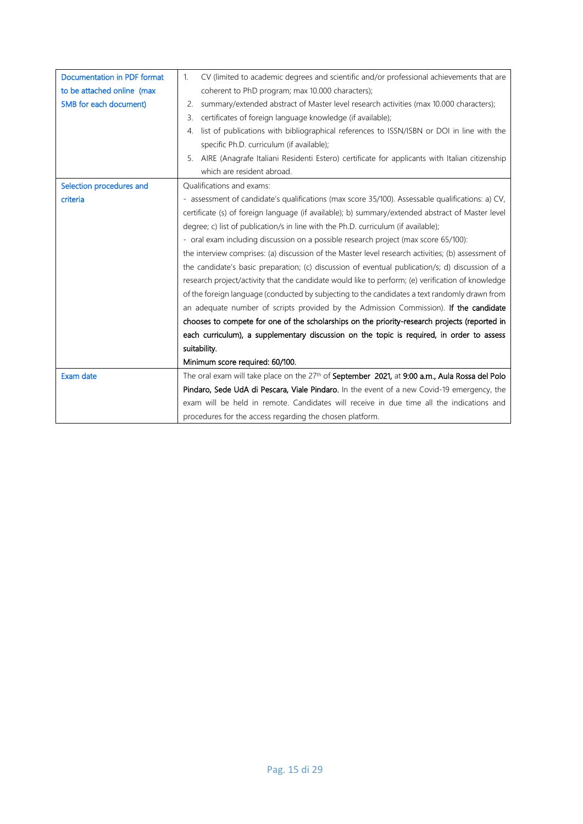| Documentation in PDF format | CV (limited to academic degrees and scientific and/or professional achievements that are<br>$\mathbf{1}$ .         |
|-----------------------------|--------------------------------------------------------------------------------------------------------------------|
| to be attached online (max  | coherent to PhD program; max 10.000 characters);                                                                   |
| 5MB for each document)      | summary/extended abstract of Master level research activities (max 10.000 characters);<br>2.                       |
|                             | certificates of foreign language knowledge (if available);<br>3.                                                   |
|                             | list of publications with bibliographical references to ISSN/ISBN or DOI in line with the<br>4.                    |
|                             | specific Ph.D. curriculum (if available);                                                                          |
|                             | AIRE (Anagrafe Italiani Residenti Estero) certificate for applicants with Italian citizenship<br>5.                |
|                             | which are resident abroad.                                                                                         |
| Selection procedures and    | <b>Oualifications and exams:</b>                                                                                   |
| criteria                    | - assessment of candidate's qualifications (max score 35/100). Assessable qualifications: a) CV,                   |
|                             | certificate (s) of foreign language (if available); b) summary/extended abstract of Master level                   |
|                             | degree; c) list of publication/s in line with the Ph.D. curriculum (if available);                                 |
|                             | - oral exam including discussion on a possible research project (max score 65/100):                                |
|                             | the interview comprises: (a) discussion of the Master level research activities; (b) assessment of                 |
|                             | the candidate's basic preparation; (c) discussion of eventual publication/s; d) discussion of a                    |
|                             | research project/activity that the candidate would like to perform; (e) verification of knowledge                  |
|                             | of the foreign language (conducted by subjecting to the candidates a text randomly drawn from                      |
|                             | an adequate number of scripts provided by the Admission Commission). If the candidate                              |
|                             | chooses to compete for one of the scholarships on the priority-research projects (reported in                      |
|                             | each curriculum), a supplementary discussion on the topic is required, in order to assess                          |
|                             | suitability.                                                                                                       |
|                             | Minimum score required: 60/100.                                                                                    |
| Exam date                   | The oral exam will take place on the 27 <sup>th</sup> of <b>September 2021</b> , at 9:00 a.m., Aula Rossa del Polo |
|                             | Pindaro, Sede UdA di Pescara, Viale Pindaro. In the event of a new Covid-19 emergency, the                         |
|                             | exam will be held in remote. Candidates will receive in due time all the indications and                           |
|                             | procedures for the access regarding the chosen platform.                                                           |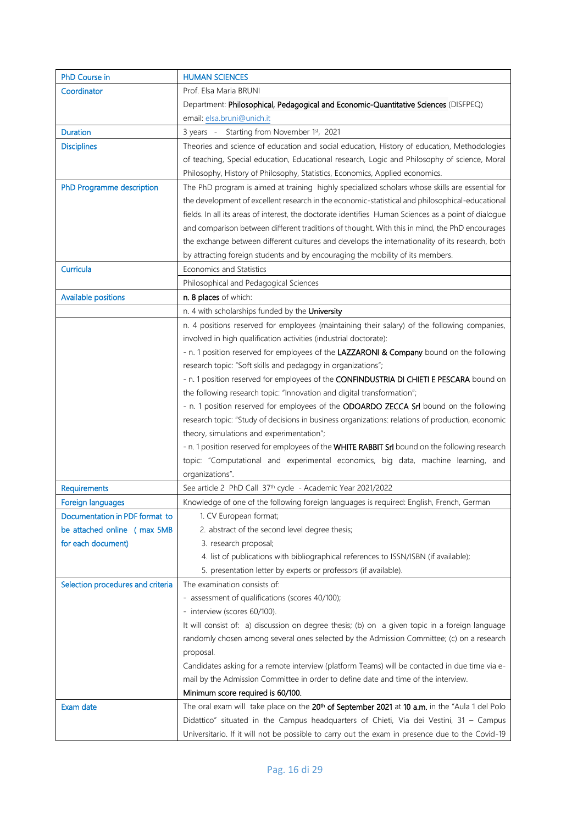| <b>PhD Course in</b>              | <b>HUMAN SCIENCES</b>                                                                                      |
|-----------------------------------|------------------------------------------------------------------------------------------------------------|
| Coordinator                       | Prof. Elsa Maria BRUNI                                                                                     |
|                                   | Department: Philosophical, Pedagogical and Economic-Quantitative Sciences (DISFPEQ)                        |
|                                   | email: elsa.bruni@unich.it                                                                                 |
| <b>Duration</b>                   | 3 years - Starting from November 1st, 2021                                                                 |
| <b>Disciplines</b>                | Theories and science of education and social education, History of education, Methodologies                |
|                                   | of teaching, Special education, Educational research, Logic and Philosophy of science, Moral               |
|                                   | Philosophy, History of Philosophy, Statistics, Economics, Applied economics.                               |
| PhD Programme description         | The PhD program is aimed at training highly specialized scholars whose skills are essential for            |
|                                   | the development of excellent research in the economic-statistical and philosophical-educational            |
|                                   | fields. In all its areas of interest, the doctorate identifies Human Sciences as a point of dialogue       |
|                                   | and comparison between different traditions of thought. With this in mind, the PhD encourages              |
|                                   | the exchange between different cultures and develops the internationality of its research, both            |
|                                   | by attracting foreign students and by encouraging the mobility of its members.                             |
| Curricula                         | Economics and Statistics                                                                                   |
|                                   | Philosophical and Pedagogical Sciences                                                                     |
| <b>Available positions</b>        | n. 8 places of which:                                                                                      |
|                                   | n. 4 with scholarships funded by the University                                                            |
|                                   | n. 4 positions reserved for employees (maintaining their salary) of the following companies,               |
|                                   | involved in high qualification activities (industrial doctorate):                                          |
|                                   | - n. 1 position reserved for employees of the LAZZARONI & Company bound on the following                   |
|                                   | research topic: "Soft skills and pedagogy in organizations";                                               |
|                                   | - n. 1 position reserved for employees of the CONFINDUSTRIA DI CHIETI E PESCARA bound on                   |
|                                   | the following research topic: "Innovation and digital transformation";                                     |
|                                   | - n. 1 position reserved for employees of the ODOARDO ZECCA Srl bound on the following                     |
|                                   | research topic: "Study of decisions in business organizations: relations of production, economic           |
|                                   | theory, simulations and experimentation";                                                                  |
|                                   | - n. 1 position reserved for employees of the WHITE RABBIT Srl bound on the following research             |
|                                   | topic: "Computational and experimental economics, big data, machine learning, and                          |
|                                   | organizations".                                                                                            |
| Requirements                      | See article 2 PhD Call 37 <sup>th</sup> cycle - Academic Year 2021/2022                                    |
| Foreign languages                 | Knowledge of one of the following foreign languages is required: English, French, German                   |
| Documentation in PDF format to    | 1. CV European format;                                                                                     |
| be attached online (max 5MB       | 2. abstract of the second level degree thesis;                                                             |
| for each document)                | 3. research proposal;                                                                                      |
|                                   | 4. list of publications with bibliographical references to ISSN/ISBN (if available);                       |
|                                   | 5. presentation letter by experts or professors (if available).                                            |
| Selection procedures and criteria | The examination consists of:                                                                               |
|                                   | - assessment of qualifications (scores 40/100);                                                            |
|                                   | - interview (scores 60/100).                                                                               |
|                                   | It will consist of: a) discussion on degree thesis; (b) on a given topic in a foreign language             |
|                                   | randomly chosen among several ones selected by the Admission Committee; (c) on a research                  |
|                                   | proposal.                                                                                                  |
|                                   | Candidates asking for a remote interview (platform Teams) will be contacted in due time via e-             |
|                                   | mail by the Admission Committee in order to define date and time of the interview.                         |
|                                   | Minimum score required is 60/100.                                                                          |
| Exam date                         | The oral exam will take place on the 20 <sup>th</sup> of September 2021 at 10 a.m. in the "Aula 1 del Polo |
|                                   | Didattico" situated in the Campus headquarters of Chieti, Via dei Vestini, 31 - Campus                     |
|                                   | Universitario. If it will not be possible to carry out the exam in presence due to the Covid-19            |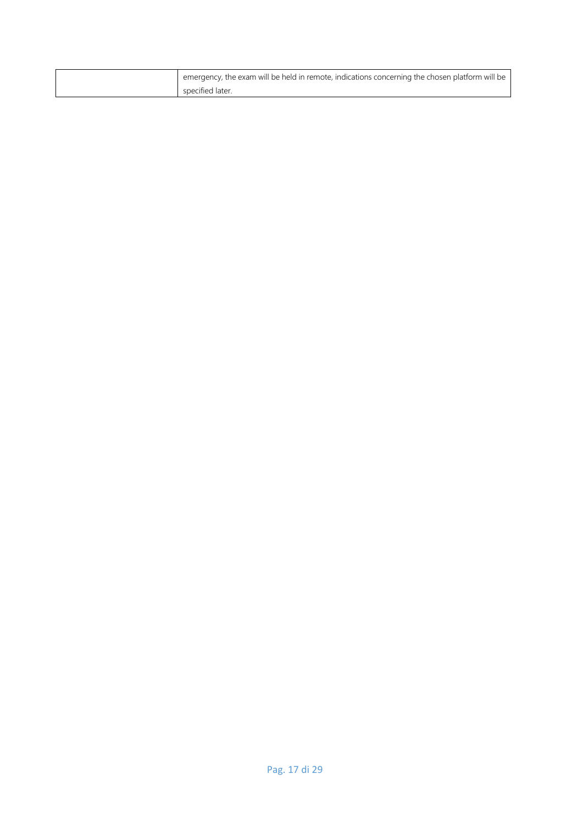| emergency, the exam will be held in remote, indications concerning the chosen platform will be |
|------------------------------------------------------------------------------------------------|
| specified later.                                                                               |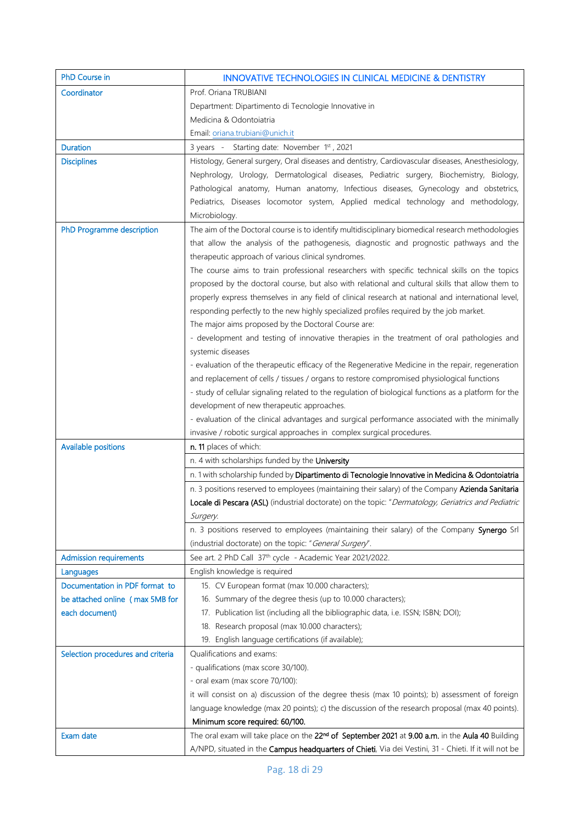| PhD Course in                     | <b>INNOVATIVE TECHNOLOGIES IN CLINICAL MEDICINE &amp; DENTISTRY</b>                                          |
|-----------------------------------|--------------------------------------------------------------------------------------------------------------|
| Coordinator                       | Prof. Oriana TRUBIANI                                                                                        |
|                                   | Department: Dipartimento di Tecnologie Innovative in                                                         |
|                                   | Medicina & Odontoiatria                                                                                      |
|                                   | Email: oriana.trubiani@unich.it                                                                              |
| <b>Duration</b>                   | 3 years - Starting date: November 1st, 2021                                                                  |
| <b>Disciplines</b>                | Histology, General surgery, Oral diseases and dentistry, Cardiovascular diseases, Anesthesiology,            |
|                                   | Nephrology, Urology, Dermatological diseases, Pediatric surgery, Biochemistry, Biology,                      |
|                                   | Pathological anatomy, Human anatomy, Infectious diseases, Gynecology and obstetrics,                         |
|                                   | Pediatrics, Diseases locomotor system, Applied medical technology and methodology,                           |
|                                   | Microbiology.                                                                                                |
| PhD Programme description         | The aim of the Doctoral course is to identify multidisciplinary biomedical research methodologies            |
|                                   | that allow the analysis of the pathogenesis, diagnostic and prognostic pathways and the                      |
|                                   | therapeutic approach of various clinical syndromes.                                                          |
|                                   | The course aims to train professional researchers with specific technical skills on the topics               |
|                                   | proposed by the doctoral course, but also with relational and cultural skills that allow them to             |
|                                   | properly express themselves in any field of clinical research at national and international level,           |
|                                   | responding perfectly to the new highly specialized profiles required by the job market.                      |
|                                   | The major aims proposed by the Doctoral Course are:                                                          |
|                                   | - development and testing of innovative therapies in the treatment of oral pathologies and                   |
|                                   | systemic diseases                                                                                            |
|                                   | - evaluation of the therapeutic efficacy of the Regenerative Medicine in the repair, regeneration            |
|                                   | and replacement of cells / tissues / organs to restore compromised physiological functions                   |
|                                   | - study of cellular signaling related to the regulation of biological functions as a platform for the        |
|                                   | development of new therapeutic approaches.                                                                   |
|                                   | - evaluation of the clinical advantages and surgical performance associated with the minimally               |
|                                   | invasive / robotic surgical approaches in complex surgical procedures.                                       |
| <b>Available positions</b>        | n. 11 places of which:                                                                                       |
|                                   | n. 4 with scholarships funded by the University                                                              |
|                                   | n. 1 with scholarship funded by Dipartimento di Tecnologie Innovative in Medicina & Odontoiatria             |
|                                   | n. 3 positions reserved to employees (maintaining their salary) of the Company Azienda Sanitaria             |
|                                   | Locale di Pescara (ASL) (industrial doctorate) on the topic: "Dermatology, Geriatrics and Pediatric          |
|                                   | Surgery.<br>n. 3 positions reserved to employees (maintaining their salary) of the Company Synergo Srl       |
|                                   | (industrial doctorate) on the topic: "General Surgery".                                                      |
| <b>Admission requirements</b>     | See art. 2 PhD Call 37 <sup>th</sup> cycle - Academic Year 2021/2022.                                        |
| Languages                         | English knowledge is required                                                                                |
| Documentation in PDF format to    | 15. CV European format (max 10.000 characters);                                                              |
| be attached online (max 5MB for   | 16. Summary of the degree thesis (up to 10.000 characters);                                                  |
| each document)                    | 17. Publication list (including all the bibliographic data, i.e. ISSN; ISBN; DOI);                           |
|                                   | 18. Research proposal (max 10.000 characters);                                                               |
|                                   | 19. English language certifications (if available);                                                          |
| Selection procedures and criteria | Qualifications and exams:                                                                                    |
|                                   | - qualifications (max score 30/100).                                                                         |
|                                   | - oral exam (max score 70/100):                                                                              |
|                                   | it will consist on a) discussion of the degree thesis (max 10 points); b) assessment of foreign              |
|                                   | language knowledge (max 20 points); c) the discussion of the research proposal (max 40 points).              |
|                                   | Minimum score required: 60/100.                                                                              |
| Exam date                         | The oral exam will take place on the 22 <sup>nd</sup> of September 2021 at 9.00 a.m. in the Aula 40 Building |
|                                   | A/NPD, situated in the Campus headquarters of Chieti, Via dei Vestini, 31 - Chieti. If it will not be        |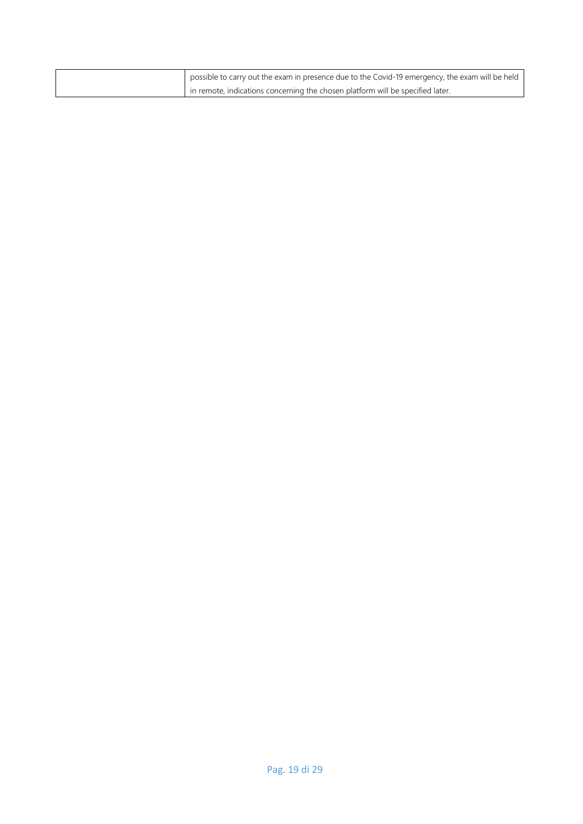| possible to carry out the exam in presence due to the Covid-19 emergency, the exam will be held |
|-------------------------------------------------------------------------------------------------|
| in remote, indications concerning the chosen platform will be specified later.                  |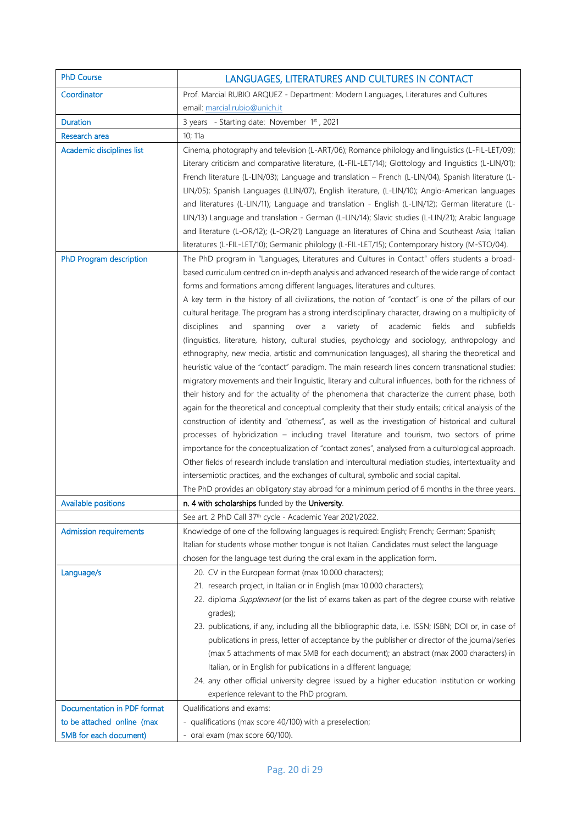| <b>PhD Course</b>             | LANGUAGES, LITERATURES AND CULTURES IN CONTACT                                                                                                                                                                                                                                                                                                                                                                                                                                                                                                                                                                                                                                                                                                                                                                                                                                                                                                                                                                                                                                                                                                                                                                                                                                                                                                                                                                                                                                                                                                                                                                                                                                                                                                                                                                                                     |
|-------------------------------|----------------------------------------------------------------------------------------------------------------------------------------------------------------------------------------------------------------------------------------------------------------------------------------------------------------------------------------------------------------------------------------------------------------------------------------------------------------------------------------------------------------------------------------------------------------------------------------------------------------------------------------------------------------------------------------------------------------------------------------------------------------------------------------------------------------------------------------------------------------------------------------------------------------------------------------------------------------------------------------------------------------------------------------------------------------------------------------------------------------------------------------------------------------------------------------------------------------------------------------------------------------------------------------------------------------------------------------------------------------------------------------------------------------------------------------------------------------------------------------------------------------------------------------------------------------------------------------------------------------------------------------------------------------------------------------------------------------------------------------------------------------------------------------------------------------------------------------------------|
| Coordinator                   | Prof. Marcial RUBIO ARQUEZ - Department: Modern Languages, Literatures and Cultures                                                                                                                                                                                                                                                                                                                                                                                                                                                                                                                                                                                                                                                                                                                                                                                                                                                                                                                                                                                                                                                                                                                                                                                                                                                                                                                                                                                                                                                                                                                                                                                                                                                                                                                                                                |
|                               | email: marcial.rubio@unich.it                                                                                                                                                                                                                                                                                                                                                                                                                                                                                                                                                                                                                                                                                                                                                                                                                                                                                                                                                                                                                                                                                                                                                                                                                                                                                                                                                                                                                                                                                                                                                                                                                                                                                                                                                                                                                      |
| <b>Duration</b>               | 3 years - Starting date: November 1st, 2021                                                                                                                                                                                                                                                                                                                                                                                                                                                                                                                                                                                                                                                                                                                                                                                                                                                                                                                                                                                                                                                                                                                                                                                                                                                                                                                                                                                                                                                                                                                                                                                                                                                                                                                                                                                                        |
| Research area                 | 10; 11a                                                                                                                                                                                                                                                                                                                                                                                                                                                                                                                                                                                                                                                                                                                                                                                                                                                                                                                                                                                                                                                                                                                                                                                                                                                                                                                                                                                                                                                                                                                                                                                                                                                                                                                                                                                                                                            |
| Academic disciplines list     | Cinema, photography and television (L-ART/06); Romance philology and linguistics (L-FIL-LET/09);<br>Literary criticism and comparative literature, (L-FIL-LET/14); Glottology and linguistics (L-LIN/01);<br>French literature (L-LIN/03); Language and translation - French (L-LIN/04), Spanish literature (L-<br>LIN/05); Spanish Languages (LLIN/07), English literature, (L-LIN/10); Anglo-American languages<br>and literatures (L-LIN/11); Language and translation - English (L-LIN/12); German literature (L-<br>LIN/13) Language and translation - German (L-LIN/14); Slavic studies (L-LIN/21); Arabic language<br>and literature (L-OR/12); (L-OR/21) Language an literatures of China and Southeast Asia; Italian<br>literatures (L-FIL-LET/10); Germanic philology (L-FIL-LET/15); Contemporary history (M-STO/04).                                                                                                                                                                                                                                                                                                                                                                                                                                                                                                                                                                                                                                                                                                                                                                                                                                                                                                                                                                                                                   |
| PhD Program description       | The PhD program in "Languages, Literatures and Cultures in Contact" offers students a broad-<br>based curriculum centred on in-depth analysis and advanced research of the wide range of contact<br>forms and formations among different languages, literatures and cultures.<br>A key term in the history of all civilizations, the notion of "contact" is one of the pillars of our<br>cultural heritage. The program has a strong interdisciplinary character, drawing on a multiplicity of<br>disciplines<br>spanning<br>variety<br>of<br>academic<br>fields<br>subfields<br>and<br>over<br>a<br>and<br>(linguistics, literature, history, cultural studies, psychology and sociology, anthropology and<br>ethnography, new media, artistic and communication languages), all sharing the theoretical and<br>heuristic value of the "contact" paradigm. The main research lines concern transnational studies:<br>migratory movements and their linguistic, literary and cultural influences, both for the richness of<br>their history and for the actuality of the phenomena that characterize the current phase, both<br>again for the theoretical and conceptual complexity that their study entails; critical analysis of the<br>construction of identity and "otherness", as well as the investigation of historical and cultural<br>processes of hybridization - including travel literature and tourism, two sectors of prime<br>importance for the conceptualization of "contact zones", analysed from a culturological approach.<br>Other fields of research include translation and intercultural mediation studies, intertextuality and<br>intersemiotic practices, and the exchanges of cultural, symbolic and social capital.<br>The PhD provides an obligatory stay abroad for a minimum period of 6 months in the three years. |
| <b>Available positions</b>    | n. 4 with scholarships funded by the University.                                                                                                                                                                                                                                                                                                                                                                                                                                                                                                                                                                                                                                                                                                                                                                                                                                                                                                                                                                                                                                                                                                                                                                                                                                                                                                                                                                                                                                                                                                                                                                                                                                                                                                                                                                                                   |
|                               | See art. 2 PhD Call 37 <sup>th</sup> cycle - Academic Year 2021/2022.                                                                                                                                                                                                                                                                                                                                                                                                                                                                                                                                                                                                                                                                                                                                                                                                                                                                                                                                                                                                                                                                                                                                                                                                                                                                                                                                                                                                                                                                                                                                                                                                                                                                                                                                                                              |
| <b>Admission requirements</b> | Knowledge of one of the following languages is required: English; French; German; Spanish;<br>Italian for students whose mother tongue is not Italian. Candidates must select the language<br>chosen for the language test during the oral exam in the application form.                                                                                                                                                                                                                                                                                                                                                                                                                                                                                                                                                                                                                                                                                                                                                                                                                                                                                                                                                                                                                                                                                                                                                                                                                                                                                                                                                                                                                                                                                                                                                                           |
| Language/s                    | 20. CV in the European format (max 10.000 characters);<br>21. research project, in Italian or in English (max 10.000 characters);<br>22. diploma Supplement (or the list of exams taken as part of the degree course with relative<br>grades);<br>23. publications, if any, including all the bibliographic data, i.e. ISSN; ISBN; DOI or, in case of<br>publications in press, letter of acceptance by the publisher or director of the journal/series<br>(max 5 attachments of max 5MB for each document); an abstract (max 2000 characters) in<br>Italian, or in English for publications in a different language;<br>24. any other official university degree issued by a higher education institution or working<br>experience relevant to the PhD program.                                                                                                                                                                                                                                                                                                                                                                                                                                                                                                                                                                                                                                                                                                                                                                                                                                                                                                                                                                                                                                                                                   |
| Documentation in PDF format   | Qualifications and exams:                                                                                                                                                                                                                                                                                                                                                                                                                                                                                                                                                                                                                                                                                                                                                                                                                                                                                                                                                                                                                                                                                                                                                                                                                                                                                                                                                                                                                                                                                                                                                                                                                                                                                                                                                                                                                          |
| to be attached online (max    | - qualifications (max score 40/100) with a preselection;                                                                                                                                                                                                                                                                                                                                                                                                                                                                                                                                                                                                                                                                                                                                                                                                                                                                                                                                                                                                                                                                                                                                                                                                                                                                                                                                                                                                                                                                                                                                                                                                                                                                                                                                                                                           |
| 5MB for each document)        | oral exam (max score 60/100).                                                                                                                                                                                                                                                                                                                                                                                                                                                                                                                                                                                                                                                                                                                                                                                                                                                                                                                                                                                                                                                                                                                                                                                                                                                                                                                                                                                                                                                                                                                                                                                                                                                                                                                                                                                                                      |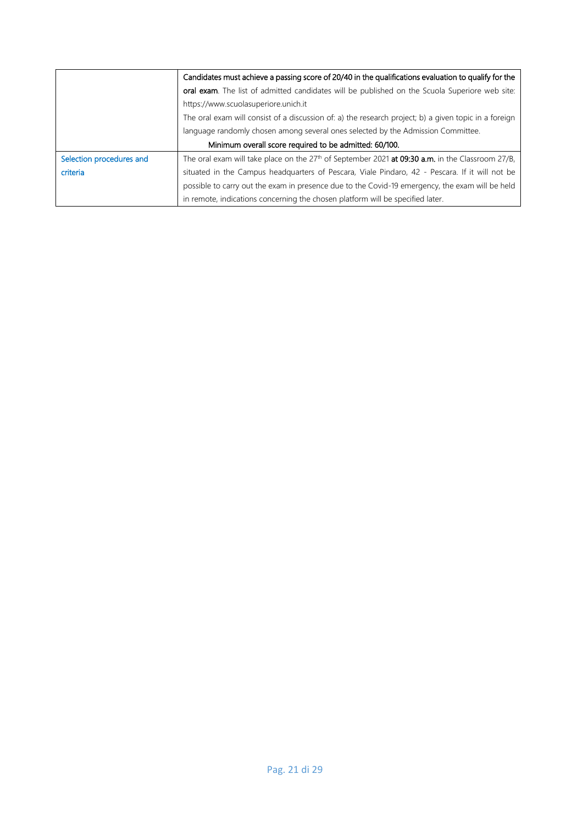|                          | Candidates must achieve a passing score of 20/40 in the qualifications evaluation to qualify for the      |
|--------------------------|-----------------------------------------------------------------------------------------------------------|
|                          | oral exam. The list of admitted candidates will be published on the Scuola Superiore web site:            |
|                          | https://www.scuolasuperiore.unich.it                                                                      |
|                          | The oral exam will consist of a discussion of: a) the research project; b) a given topic in a foreign     |
|                          | language randomly chosen among several ones selected by the Admission Committee.                          |
|                          | Minimum overall score required to be admitted: 60/100.                                                    |
| Selection procedures and | The oral exam will take place on the $27th$ of September 2021 <b>at 09:30 a.m.</b> in the Classroom 27/B, |
| criteria                 | situated in the Campus headquarters of Pescara, Viale Pindaro, 42 - Pescara. If it will not be            |
|                          | possible to carry out the exam in presence due to the Covid-19 emergency, the exam will be held           |
|                          | in remote, indications concerning the chosen platform will be specified later.                            |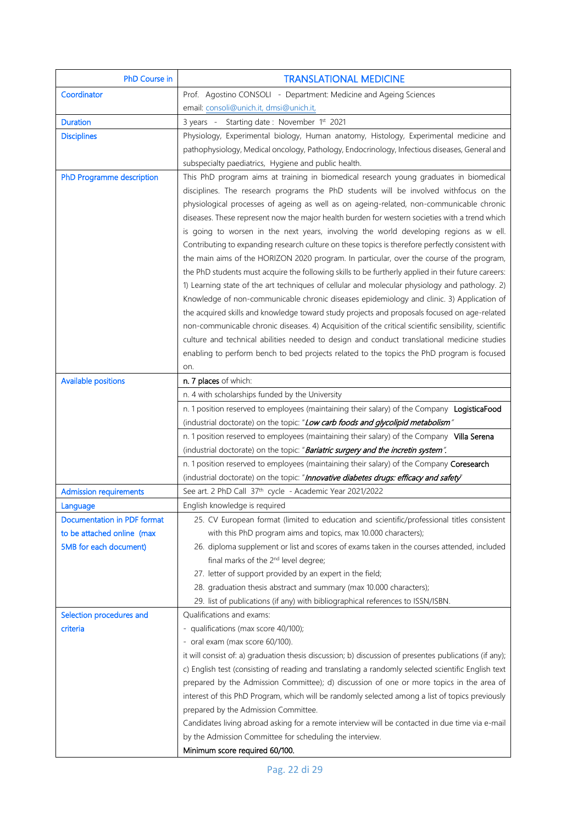| PhD Course in                 | <b>TRANSLATIONAL MEDICINE</b>                                                                                                                                                  |
|-------------------------------|--------------------------------------------------------------------------------------------------------------------------------------------------------------------------------|
| Coordinator                   | Prof. Agostino CONSOLI - Department: Medicine and Ageing Sciences                                                                                                              |
|                               | email: consoli@unich.it, dmsi@unich.it,                                                                                                                                        |
| <b>Duration</b>               | 3 years - Starting date: November 1st 2021                                                                                                                                     |
| <b>Disciplines</b>            | Physiology, Experimental biology, Human anatomy, Histology, Experimental medicine and                                                                                          |
|                               | pathophysiology, Medical oncology, Pathology, Endocrinology, Infectious diseases, General and                                                                                  |
|                               | subspecialty paediatrics, Hygiene and public health.                                                                                                                           |
| PhD Programme description     | This PhD program aims at training in biomedical research young graduates in biomedical                                                                                         |
|                               | disciplines. The research programs the PhD students will be involved withfocus on the                                                                                          |
|                               | physiological processes of ageing as well as on ageing-related, non-communicable chronic                                                                                       |
|                               | diseases. These represent now the major health burden for western societies with a trend which                                                                                 |
|                               | is going to worsen in the next years, involving the world developing regions as w ell.                                                                                         |
|                               | Contributing to expanding research culture on these topics is therefore perfectly consistent with                                                                              |
|                               | the main aims of the HORIZON 2020 program. In particular, over the course of the program,                                                                                      |
|                               | the PhD students must acquire the following skills to be furtherly applied in their future careers:                                                                            |
|                               | 1) Learning state of the art techniques of cellular and molecular physiology and pathology. 2)                                                                                 |
|                               | Knowledge of non-communicable chronic diseases epidemiology and clinic. 3) Application of                                                                                      |
|                               | the acquired skills and knowledge toward study projects and proposals focused on age-related                                                                                   |
|                               | non-communicable chronic diseases. 4) Acquisition of the critical scientific sensibility, scientific                                                                           |
|                               | culture and technical abilities needed to design and conduct translational medicine studies                                                                                    |
|                               | enabling to perform bench to bed projects related to the topics the PhD program is focused                                                                                     |
|                               | on.                                                                                                                                                                            |
| <b>Available positions</b>    | n. 7 places of which:                                                                                                                                                          |
|                               | n. 4 with scholarships funded by the University                                                                                                                                |
|                               | n. 1 position reserved to employees (maintaining their salary) of the Company LogisticaFood<br>(industrial doctorate) on the topic: "Low carb foods and glycolipid metabolism" |
|                               | n. 1 position reserved to employees (maintaining their salary) of the Company Villa Serena                                                                                     |
|                               | (industrial doctorate) on the topic: "Bariatric surgery and the incretin system".                                                                                              |
|                               | n. 1 position reserved to employees (maintaining their salary) of the Company Coresearch                                                                                       |
|                               | (industrial doctorate) on the topic: "Innovative diabetes drugs: efficacy and safety"                                                                                          |
| <b>Admission requirements</b> | See art. 2 PhD Call 37th cycle - Academic Year 2021/2022                                                                                                                       |
| Language                      | English knowledge is required                                                                                                                                                  |
| Documentation in PDF format   | 25. CV European format (limited to education and scientific/professional titles consistent                                                                                     |
| to be attached online (max    | with this PhD program aims and topics, max 10.000 characters);                                                                                                                 |
| 5MB for each document)        | 26. diploma supplement or list and scores of exams taken in the courses attended, included                                                                                     |
|                               | final marks of the 2 <sup>nd</sup> level degree;                                                                                                                               |
|                               | 27. letter of support provided by an expert in the field;                                                                                                                      |
|                               | 28. graduation thesis abstract and summary (max 10.000 characters);                                                                                                            |
|                               | 29. list of publications (if any) with bibliographical references to ISSN/ISBN.                                                                                                |
| Selection procedures and      | Qualifications and exams:                                                                                                                                                      |
| criteria                      | - qualifications (max score 40/100);                                                                                                                                           |
|                               | oral exam (max score 60/100).                                                                                                                                                  |
|                               | it will consist of: a) graduation thesis discussion; b) discussion of presentes publications (if any);                                                                         |
|                               | c) English test (consisting of reading and translating a randomly selected scientific English text                                                                             |
|                               | prepared by the Admission Committee); d) discussion of one or more topics in the area of                                                                                       |
|                               | interest of this PhD Program, which will be randomly selected among a list of topics previously                                                                                |
|                               | prepared by the Admission Committee.                                                                                                                                           |
|                               | Candidates living abroad asking for a remote interview will be contacted in due time via e-mail                                                                                |
|                               | by the Admission Committee for scheduling the interview.                                                                                                                       |
|                               | Minimum score required 60/100.                                                                                                                                                 |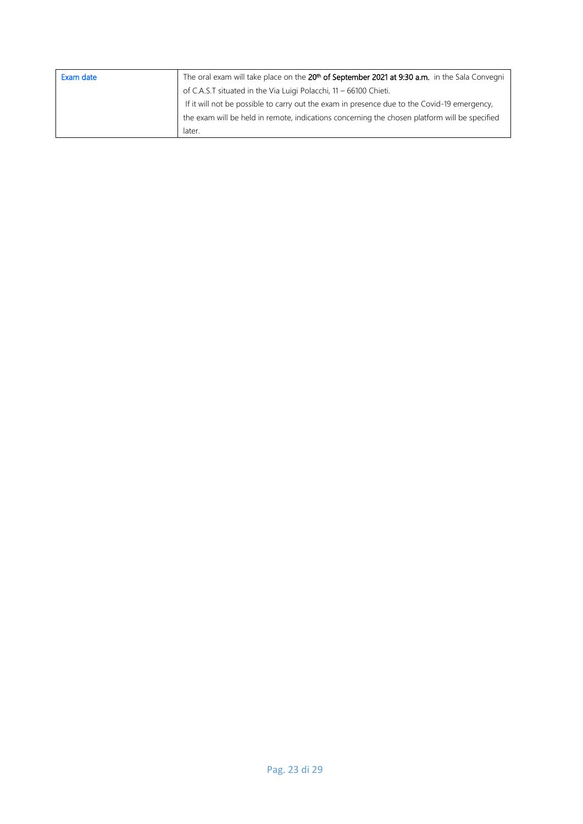| Exam date | The oral exam will take place on the 20 <sup>th</sup> of September 2021 at 9:30 a.m. in the Sala Convegni |
|-----------|-----------------------------------------------------------------------------------------------------------|
|           | of C.A.S.T situated in the Via Luigi Polacchi, 11 - 66100 Chieti.                                         |
|           | If it will not be possible to carry out the exam in presence due to the Covid-19 emergency,               |
|           | the exam will be held in remote, indications concerning the chosen platform will be specified             |
|           | later.                                                                                                    |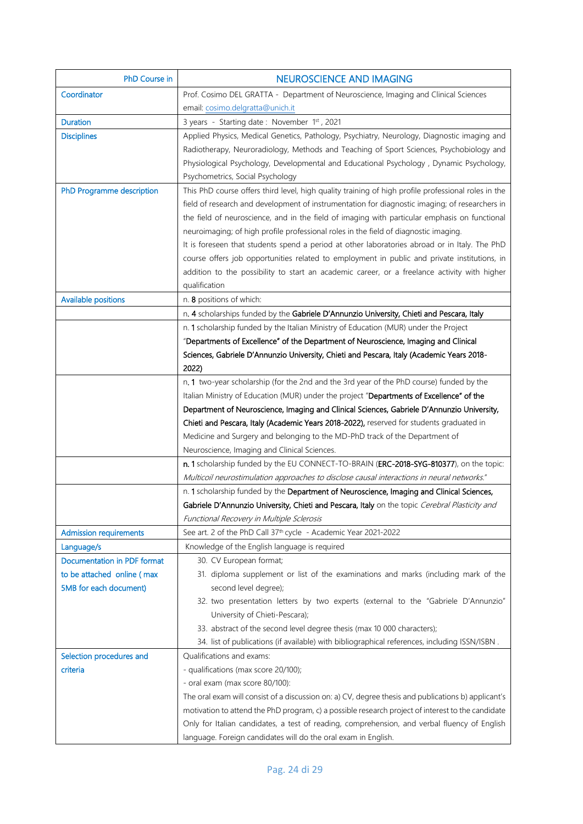| PhD Course in                 | <b>NEUROSCIENCE AND IMAGING</b>                                                                     |
|-------------------------------|-----------------------------------------------------------------------------------------------------|
| Coordinator                   | Prof. Cosimo DEL GRATTA - Department of Neuroscience, Imaging and Clinical Sciences                 |
|                               | email: cosimo.delgratta@unich.it                                                                    |
| <b>Duration</b>               | 3 years - Starting date: November 1st, 2021                                                         |
| <b>Disciplines</b>            | Applied Physics, Medical Genetics, Pathology, Psychiatry, Neurology, Diagnostic imaging and         |
|                               | Radiotherapy, Neuroradiology, Methods and Teaching of Sport Sciences, Psychobiology and             |
|                               | Physiological Psychology, Developmental and Educational Psychology , Dynamic Psychology,            |
|                               | Psychometrics, Social Psychology                                                                    |
| PhD Programme description     | This PhD course offers third level, high quality training of high profile professional roles in the |
|                               | field of research and development of instrumentation for diagnostic imaging; of researchers in      |
|                               | the field of neuroscience, and in the field of imaging with particular emphasis on functional       |
|                               | neuroimaging; of high profile professional roles in the field of diagnostic imaging.                |
|                               | It is foreseen that students spend a period at other laboratories abroad or in Italy. The PhD       |
|                               | course offers job opportunities related to employment in public and private institutions, in        |
|                               | addition to the possibility to start an academic career, or a freelance activity with higher        |
|                               | qualification                                                                                       |
| <b>Available positions</b>    | n. 8 positions of which:                                                                            |
|                               | n. 4 scholarships funded by the Gabriele D'Annunzio University, Chieti and Pescara, Italy           |
|                               | n. 1 scholarship funded by the Italian Ministry of Education (MUR) under the Project                |
|                               | "Departments of Excellence" of the Department of Neuroscience, Imaging and Clinical                 |
|                               | Sciences, Gabriele D'Annunzio University, Chieti and Pescara, Italy (Academic Years 2018-           |
|                               | 2022)                                                                                               |
|                               | n. 1 two-year scholarship (for the 2nd and the 3rd year of the PhD course) funded by the            |
|                               | Italian Ministry of Education (MUR) under the project "Departments of Excellence" of the            |
|                               | Department of Neuroscience, Imaging and Clinical Sciences, Gabriele D'Annunzio University,          |
|                               | Chieti and Pescara, Italy (Academic Years 2018-2022), reserved for students graduated in            |
|                               | Medicine and Surgery and belonging to the MD-PhD track of the Department of                         |
|                               | Neuroscience, Imaging and Clinical Sciences.                                                        |
|                               | n. 1 scholarship funded by the EU CONNECT-TO-BRAIN (ERC-2018-SYG-810377), on the topic:             |
|                               | Multicoil neurostimulation approaches to disclose causal interactions in neural networks."          |
|                               | n. 1 scholarship funded by the Department of Neuroscience, Imaging and Clinical Sciences,           |
|                               | Gabriele D'Annunzio University, Chieti and Pescara, Italy on the topic Cerebral Plasticity and      |
|                               | Functional Recovery in Multiple Sclerosis                                                           |
| <b>Admission requirements</b> | See art. 2 of the PhD Call 37 <sup>th</sup> cycle - Academic Year 2021-2022                         |
| Language/s                    | Knowledge of the English language is required                                                       |
| Documentation in PDF format   | 30. CV European format;                                                                             |
| to be attached online (max    | 31. diploma supplement or list of the examinations and marks (including mark of the                 |
| 5MB for each document)        | second level degree);                                                                               |
|                               | 32. two presentation letters by two experts (external to the "Gabriele D'Annunzio"                  |
|                               | University of Chieti-Pescara);                                                                      |
|                               | 33. abstract of the second level degree thesis (max 10 000 characters);                             |
|                               | 34. list of publications (if available) with bibliographical references, including ISSN/ISBN.       |
| Selection procedures and      | Qualifications and exams:                                                                           |
| criteria                      | - qualifications (max score 20/100);                                                                |
|                               | - oral exam (max score 80/100):                                                                     |
|                               | The oral exam will consist of a discussion on: a) CV, degree thesis and publications b) applicant's |
|                               | motivation to attend the PhD program, c) a possible research project of interest to the candidate   |
|                               | Only for Italian candidates, a test of reading, comprehension, and verbal fluency of English        |
|                               | language. Foreign candidates will do the oral exam in English.                                      |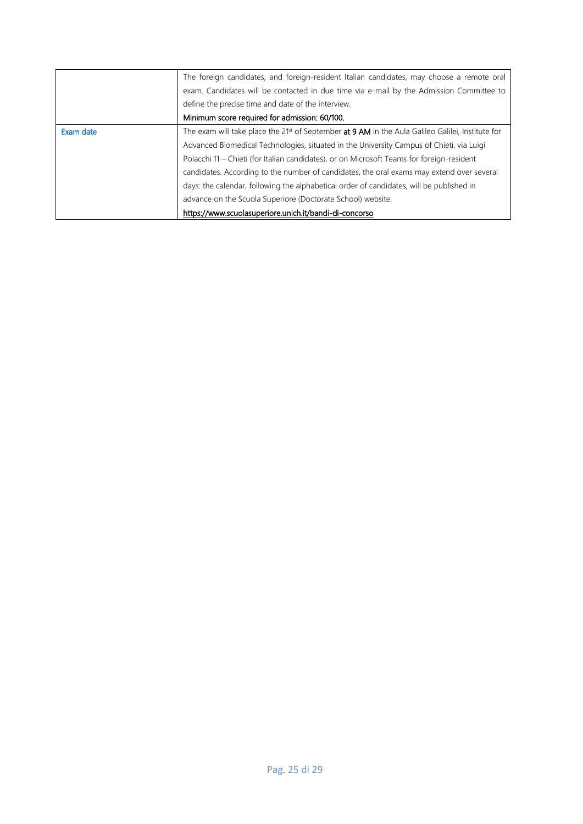|           | The foreign candidates, and foreign-resident Italian candidates, may choose a remote oral           |
|-----------|-----------------------------------------------------------------------------------------------------|
|           | exam. Candidates will be contacted in due time via e-mail by the Admission Committee to             |
|           | define the precise time and date of the interview.                                                  |
|           | Minimum score required for admission: 60/100.                                                       |
| Exam date | The exam will take place the $21st$ of September at 9 AM in the Aula Galileo Galilei, Institute for |
|           | Advanced Biomedical Technologies, situated in the University Campus of Chieti, via Luigi            |
|           | Polacchi 11 – Chieti (for Italian candidates), or on Microsoft Teams for foreign-resident           |
|           | candidates. According to the number of candidates, the oral exams may extend over several           |
|           | days: the calendar, following the alphabetical order of candidates, will be published in            |
|           | advance on the Scuola Superiore (Doctorate School) website.                                         |
|           | https://www.scuolasuperiore.unich.it/bandi-di-concorso                                              |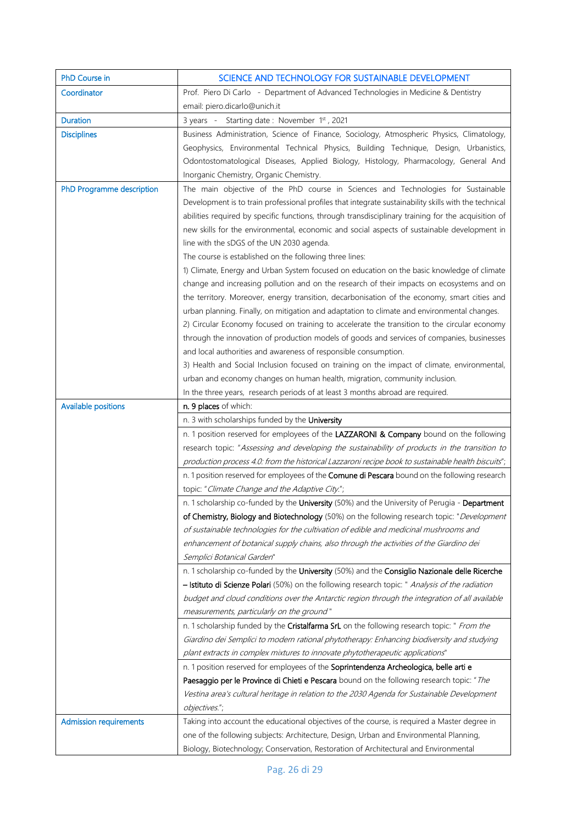| <b>PhD Course in</b>          | SCIENCE AND TECHNOLOGY FOR SUSTAINABLE DEVELOPMENT                                                                                                                                                |
|-------------------------------|---------------------------------------------------------------------------------------------------------------------------------------------------------------------------------------------------|
| Coordinator                   | Prof. Piero Di Carlo - Department of Advanced Technologies in Medicine & Dentistry                                                                                                                |
|                               | email: piero.dicarlo@unich.it                                                                                                                                                                     |
| <b>Duration</b>               | 3 years - Starting date: November 1st, 2021                                                                                                                                                       |
| <b>Disciplines</b>            | Business Administration, Science of Finance, Sociology, Atmospheric Physics, Climatology,                                                                                                         |
|                               | Geophysics, Environmental Technical Physics, Building Technique, Design, Urbanistics,                                                                                                             |
|                               | Odontostomatological Diseases, Applied Biology, Histology, Pharmacology, General And                                                                                                              |
|                               | Inorganic Chemistry, Organic Chemistry.                                                                                                                                                           |
| PhD Programme description     | The main objective of the PhD course in Sciences and Technologies for Sustainable                                                                                                                 |
|                               | Development is to train professional profiles that integrate sustainability skills with the technical                                                                                             |
|                               | abilities required by specific functions, through transdisciplinary training for the acquisition of                                                                                               |
|                               | new skills for the environmental, economic and social aspects of sustainable development in                                                                                                       |
|                               | line with the sDGS of the UN 2030 agenda.                                                                                                                                                         |
|                               | The course is established on the following three lines:                                                                                                                                           |
|                               | 1) Climate, Energy and Urban System focused on education on the basic knowledge of climate                                                                                                        |
|                               | change and increasing pollution and on the research of their impacts on ecosystems and on                                                                                                         |
|                               | the territory. Moreover, energy transition, decarbonisation of the economy, smart cities and                                                                                                      |
|                               | urban planning. Finally, on mitigation and adaptation to climate and environmental changes.                                                                                                       |
|                               | 2) Circular Economy focused on training to accelerate the transition to the circular economy                                                                                                      |
|                               | through the innovation of production models of goods and services of companies, businesses                                                                                                        |
|                               | and local authorities and awareness of responsible consumption.                                                                                                                                   |
|                               | 3) Health and Social Inclusion focused on training on the impact of climate, environmental,                                                                                                       |
|                               | urban and economy changes on human health, migration, community inclusion.                                                                                                                        |
|                               | In the three years, research periods of at least 3 months abroad are required.                                                                                                                    |
| <b>Available positions</b>    | n. 9 places of which:                                                                                                                                                                             |
|                               | n. 3 with scholarships funded by the University                                                                                                                                                   |
|                               | n. 1 position reserved for employees of the LAZZARONI & Company bound on the following                                                                                                            |
|                               | research topic: "Assessing and developing the sustainability of products in the transition to                                                                                                     |
|                               | production process 4.0: from the historical Lazzaroni recipe book to sustainable health biscuits";                                                                                                |
|                               | n. 1 position reserved for employees of the Comune di Pescara bound on the following research                                                                                                     |
|                               | topic: "Climate Change and the Adaptive City.";                                                                                                                                                   |
|                               | n. 1 scholarship co-funded by the University (50%) and the University of Perugia - Department                                                                                                     |
|                               | of Chemistry, Biology and Biotechnology (50%) on the following research topic: "Development                                                                                                       |
|                               | of sustainable technologies for the cultivation of edible and medicinal mushrooms and                                                                                                             |
|                               | enhancement of botanical supply chains, also through the activities of the Giardino dei                                                                                                           |
|                               | Semplici Botanical Garden"                                                                                                                                                                        |
|                               | n. 1 scholarship co-funded by the University (50%) and the Consiglio Nazionale delle Ricerche                                                                                                     |
|                               | - Istituto di Scienze Polari (50%) on the following research topic: " Analysis of the radiation<br>budget and cloud conditions over the Antarctic region through the integration of all available |
|                               |                                                                                                                                                                                                   |
|                               |                                                                                                                                                                                                   |
|                               | measurements, particularly on the ground"                                                                                                                                                         |
|                               | n. 1 scholarship funded by the Cristalfarma SrL on the following research topic: " From the                                                                                                       |
|                               | Giardino dei Semplici to modern rational phytotherapy: Enhancing biodiversity and studying                                                                                                        |
|                               | plant extracts in complex mixtures to innovate phytotherapeutic applications"                                                                                                                     |
|                               | n. 1 position reserved for employees of the Soprintendenza Archeologica, belle arti e                                                                                                             |
|                               | Paesaggio per le Province di Chieti e Pescara bound on the following research topic: " The                                                                                                        |
|                               | Vestina area's cultural heritage in relation to the 2030 Agenda for Sustainable Development                                                                                                       |
|                               | objectives.";                                                                                                                                                                                     |
| <b>Admission requirements</b> | Taking into account the educational objectives of the course, is required a Master degree in                                                                                                      |
|                               | one of the following subjects: Architecture, Design, Urban and Environmental Planning,<br>Biology, Biotechnology; Conservation, Restoration of Architectural and Environmental                    |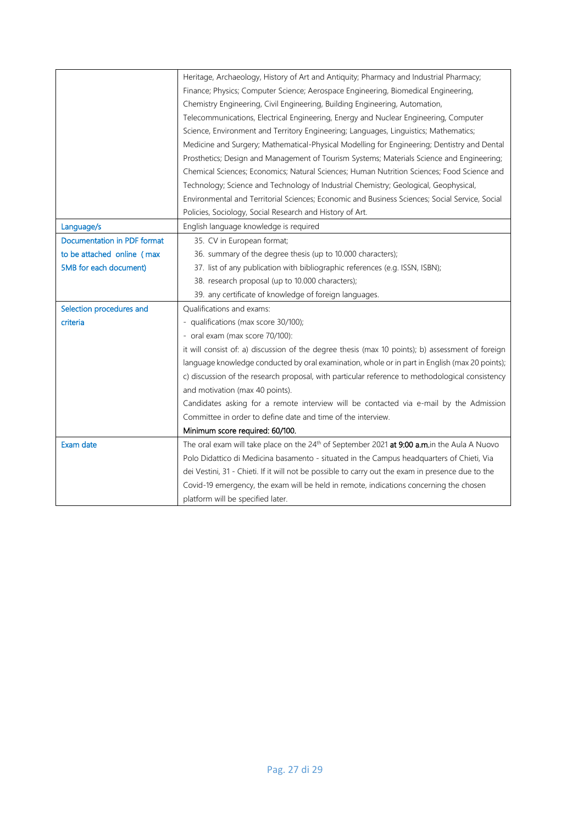|                             | Heritage, Archaeology, History of Art and Antiquity; Pharmacy and Industrial Pharmacy;                  |
|-----------------------------|---------------------------------------------------------------------------------------------------------|
|                             | Finance; Physics; Computer Science; Aerospace Engineering, Biomedical Engineering,                      |
|                             | Chemistry Engineering, Civil Engineering, Building Engineering, Automation,                             |
|                             | Telecommunications, Electrical Engineering, Energy and Nuclear Engineering, Computer                    |
|                             | Science, Environment and Territory Engineering; Languages, Linguistics; Mathematics;                    |
|                             | Medicine and Surgery; Mathematical-Physical Modelling for Engineering; Dentistry and Dental             |
|                             | Prosthetics; Design and Management of Tourism Systems; Materials Science and Engineering;               |
|                             | Chemical Sciences; Economics; Natural Sciences; Human Nutrition Sciences; Food Science and              |
|                             | Technology; Science and Technology of Industrial Chemistry; Geological, Geophysical,                    |
|                             | Environmental and Territorial Sciences; Economic and Business Sciences; Social Service, Social          |
|                             | Policies, Sociology, Social Research and History of Art.                                                |
| Language/s                  | English language knowledge is required                                                                  |
| Documentation in PDF format | 35. CV in European format;                                                                              |
| to be attached online (max  | 36. summary of the degree thesis (up to 10.000 characters);                                             |
| 5MB for each document)      | 37. list of any publication with bibliographic references (e.g. ISSN, ISBN);                            |
|                             | 38. research proposal (up to 10.000 characters);                                                        |
|                             | 39. any certificate of knowledge of foreign languages.                                                  |
| Selection procedures and    | Qualifications and exams:                                                                               |
| criteria                    | - qualifications (max score 30/100);                                                                    |
|                             | - oral exam (max score 70/100):                                                                         |
|                             | it will consist of: a) discussion of the degree thesis (max 10 points); b) assessment of foreign        |
|                             | language knowledge conducted by oral examination, whole or in part in English (max 20 points);          |
|                             | c) discussion of the research proposal, with particular reference to methodological consistency         |
|                             | and motivation (max 40 points).                                                                         |
|                             | Candidates asking for a remote interview will be contacted via e-mail by the Admission                  |
|                             | Committee in order to define date and time of the interview.                                            |
|                             | Minimum score required: 60/100.                                                                         |
| Exam date                   | The oral exam will take place on the 24 <sup>th</sup> of September 2021 at 9:00 a.m.in the Aula A Nuovo |
|                             | Polo Didattico di Medicina basamento - situated in the Campus headquarters of Chieti, Via               |
|                             | dei Vestini, 31 - Chieti. If it will not be possible to carry out the exam in presence due to the       |
|                             | Covid-19 emergency, the exam will be held in remote, indications concerning the chosen                  |
|                             | platform will be specified later.                                                                       |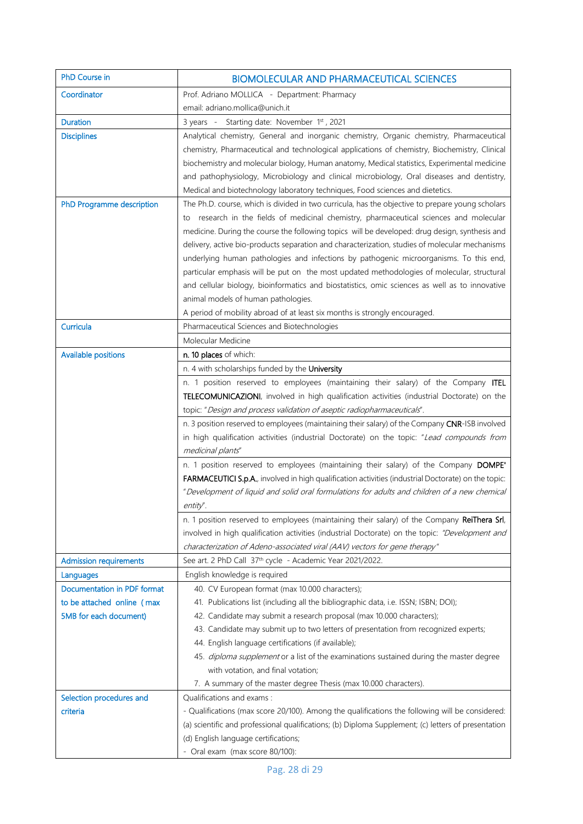| PhD Course in                                                                       | <b>BIOMOLECULAR AND PHARMACEUTICAL SCIENCES</b>                                                                                                                                                                                                                                                                                                                                                                                                                                                                                                                                                                                                                                                                                                                                                                |
|-------------------------------------------------------------------------------------|----------------------------------------------------------------------------------------------------------------------------------------------------------------------------------------------------------------------------------------------------------------------------------------------------------------------------------------------------------------------------------------------------------------------------------------------------------------------------------------------------------------------------------------------------------------------------------------------------------------------------------------------------------------------------------------------------------------------------------------------------------------------------------------------------------------|
| Coordinator                                                                         | Prof. Adriano MOLLICA - Department: Pharmacy                                                                                                                                                                                                                                                                                                                                                                                                                                                                                                                                                                                                                                                                                                                                                                   |
|                                                                                     | email: adriano.mollica@unich.it                                                                                                                                                                                                                                                                                                                                                                                                                                                                                                                                                                                                                                                                                                                                                                                |
| <b>Duration</b>                                                                     | 3 years - Starting date: November 1st, 2021                                                                                                                                                                                                                                                                                                                                                                                                                                                                                                                                                                                                                                                                                                                                                                    |
| <b>Disciplines</b>                                                                  | Analytical chemistry, General and inorganic chemistry, Organic chemistry, Pharmaceutical<br>chemistry, Pharmaceutical and technological applications of chemistry, Biochemistry, Clinical<br>biochemistry and molecular biology, Human anatomy, Medical statistics, Experimental medicine<br>and pathophysiology, Microbiology and clinical microbiology, Oral diseases and dentistry,<br>Medical and biotechnology laboratory techniques, Food sciences and dietetics.                                                                                                                                                                                                                                                                                                                                        |
| PhD Programme description                                                           | The Ph.D. course, which is divided in two curricula, has the objective to prepare young scholars<br>to research in the fields of medicinal chemistry, pharmaceutical sciences and molecular<br>medicine. During the course the following topics will be developed: drug design, synthesis and<br>delivery, active bio-products separation and characterization, studies of molecular mechanisms<br>underlying human pathologies and infections by pathogenic microorganisms. To this end,<br>particular emphasis will be put on the most updated methodologies of molecular, structural<br>and cellular biology, bioinformatics and biostatistics, omic sciences as well as to innovative<br>animal models of human pathologies.<br>A period of mobility abroad of at least six months is strongly encouraged. |
| Curricula                                                                           | Pharmaceutical Sciences and Biotechnologies                                                                                                                                                                                                                                                                                                                                                                                                                                                                                                                                                                                                                                                                                                                                                                    |
|                                                                                     | Molecular Medicine                                                                                                                                                                                                                                                                                                                                                                                                                                                                                                                                                                                                                                                                                                                                                                                             |
| <b>Available positions</b>                                                          | n. 10 places of which:                                                                                                                                                                                                                                                                                                                                                                                                                                                                                                                                                                                                                                                                                                                                                                                         |
|                                                                                     | n. 4 with scholarships funded by the University                                                                                                                                                                                                                                                                                                                                                                                                                                                                                                                                                                                                                                                                                                                                                                |
|                                                                                     | n. 1 position reserved to employees (maintaining their salary) of the Company ITEL<br>TELECOMUNICAZIONI, involved in high qualification activities (industrial Doctorate) on the<br>topic: "Design and process validation of aseptic radiopharmaceuticals".                                                                                                                                                                                                                                                                                                                                                                                                                                                                                                                                                    |
|                                                                                     | n. 3 position reserved to employees (maintaining their salary) of the Company CNR-ISB involved<br>in high qualification activities (industrial Doctorate) on the topic: "Lead compounds from<br>medicinal plants"                                                                                                                                                                                                                                                                                                                                                                                                                                                                                                                                                                                              |
|                                                                                     | n. 1 position reserved to employees (maintaining their salary) of the Company DOMPE'<br>FARMACEUTICI S.p.A., involved in high qualification activities (industrial Doctorate) on the topic:<br>"Development of liquid and solid oral formulations for adults and children of a new chemical<br>entity".                                                                                                                                                                                                                                                                                                                                                                                                                                                                                                        |
|                                                                                     | n. 1 position reserved to employees (maintaining their salary) of the Company ReiThera Srl,<br>involved in high qualification activities (industrial Doctorate) on the topic: "Development and<br>characterization of Adeno-associated viral (AAV) vectors for gene therapy"                                                                                                                                                                                                                                                                                                                                                                                                                                                                                                                                   |
| <b>Admission requirements</b>                                                       | See art. 2 PhD Call 37th cycle - Academic Year 2021/2022.                                                                                                                                                                                                                                                                                                                                                                                                                                                                                                                                                                                                                                                                                                                                                      |
| Languages                                                                           | English knowledge is required                                                                                                                                                                                                                                                                                                                                                                                                                                                                                                                                                                                                                                                                                                                                                                                  |
| Documentation in PDF format<br>to be attached online (max<br>5MB for each document) | 40. CV European format (max 10.000 characters);<br>41. Publications list (including all the bibliographic data, i.e. ISSN; ISBN; DOI);<br>42. Candidate may submit a research proposal (max 10.000 characters);<br>43. Candidate may submit up to two letters of presentation from recognized experts;<br>44. English language certifications (if available);<br>45. diploma supplement or a list of the examinations sustained during the master degree                                                                                                                                                                                                                                                                                                                                                       |
|                                                                                     | with votation, and final votation;                                                                                                                                                                                                                                                                                                                                                                                                                                                                                                                                                                                                                                                                                                                                                                             |
|                                                                                     | 7. A summary of the master degree Thesis (max 10.000 characters).                                                                                                                                                                                                                                                                                                                                                                                                                                                                                                                                                                                                                                                                                                                                              |
| Selection procedures and<br>criteria                                                | Qualifications and exams:<br>- Qualifications (max score 20/100). Among the qualifications the following will be considered:<br>(a) scientific and professional qualifications; (b) Diploma Supplement; (c) letters of presentation<br>(d) English language certifications;<br>- Oral exam (max score 80/100):                                                                                                                                                                                                                                                                                                                                                                                                                                                                                                 |